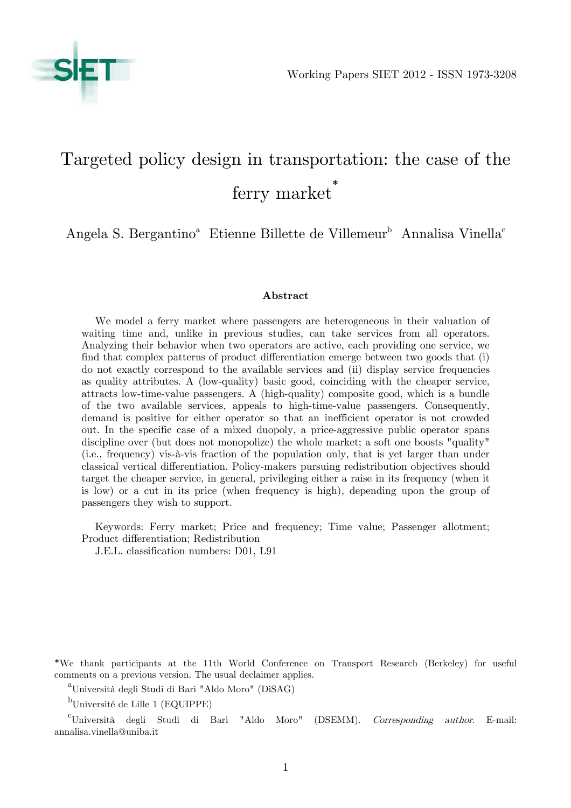

# Targeted policy design in transportation: the case of the ferry market \*

Angela S. Bergantino<sup>a</sup> Etienne Billette de Villemeur<sup>b</sup> Annalisa Vinella<sup>c</sup>

### Abstract

We model a ferry market where passengers are heterogeneous in their valuation of waiting time and, unlike in previous studies, can take services from all operators. Analyzing their behavior when two operators are active, each providing one service, we find that complex patterns of product differentiation emerge between two goods that (i) do not exactly correspond to the available services and (ii) display service frequencies as quality attributes. A (low-quality) basic good, coinciding with the cheaper service, attracts low-time-value passengers. A (high-quality) composite good, which is a bundle of the two available services, appeals to high-time-value passengers. Consequently, demand is positive for either operator so that an inefficient operator is not crowded out. In the specific case of a mixed duopoly, a price-aggressive public operator spans discipline over (but does not monopolize) the whole market; a soft one boosts "quality" (i.e., frequency) vis-à-vis fraction of the population only, that is yet larger than under classical vertical differentiation. Policy-makers pursuing redistribution objectives should target the cheaper service, in general, privileging either a raise in its frequency (when it is low) or a cut in its price (when frequency is high), depending upon the group of passengers they wish to support.

Keywords: Ferry market; Price and frequency; Time value; Passenger allotment; Product differentiation; Redistribution

J.E.L. classification numbers: D01, L91

\*We thank participants at the 11th World Conference on Transport Research (Berkeley) for useful comments on a previous version. The usual declaimer applies.

<sup>a</sup>Università degli Studi di Bari "Aldo Moro" (DiSAG)

<sup>b</sup>Université de Lille 1 (EQUIPPE)

 $\text{``Università" }$  degli Studi di Bari "Aldo Moro" (DSEMM). Corresponding author. E-mail: annalisa.vinella@uniba.it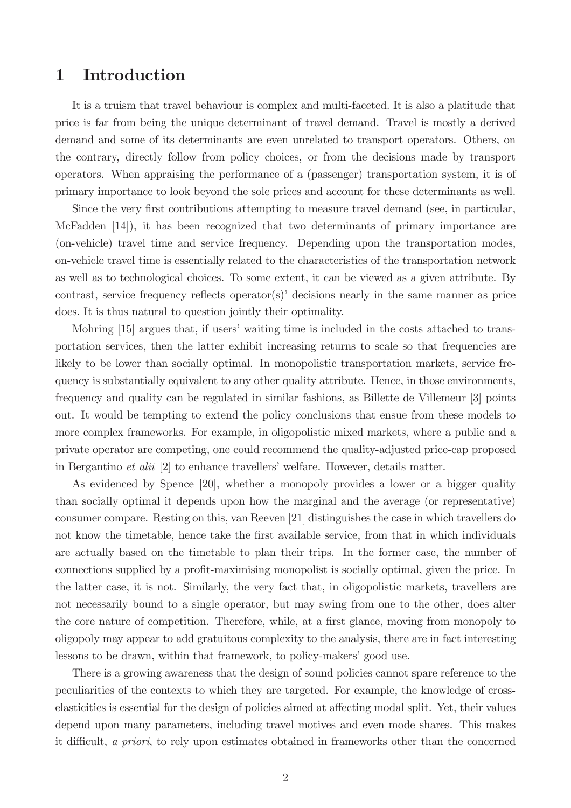## 1 Introduction

It is a truism that travel behaviour is complex and multi-faceted. It is also a platitude that price is far from being the unique determinant of travel demand. Travel is mostly a derived demand and some of its determinants are even unrelated to transport operators. Others, on the contrary, directly follow from policy choices, or from the decisions made by transport operators. When appraising the performance of a (passenger) transportation system, it is of primary importance to look beyond the sole prices and account for these determinants as well.

Since the very first contributions attempting to measure travel demand (see, in particular, McFadden [14]), it has been recognized that two determinants of primary importance are (on-vehicle) travel time and service frequency. Depending upon the transportation modes, on-vehicle travel time is essentially related to the characteristics of the transportation network as well as to technological choices. To some extent, it can be viewed as a given attribute. By contrast, service frequency reflects operator(s) decisions nearly in the same manner as price does. It is thus natural to question jointly their optimality.

Mohring [15] argues that, if users' waiting time is included in the costs attached to transportation services, then the latter exhibit increasing returns to scale so that frequencies are likely to be lower than socially optimal. In monopolistic transportation markets, service frequency is substantially equivalent to any other quality attribute. Hence, in those environments, frequency and quality can be regulated in similar fashions, as Billette de Villemeur [3] points out. It would be tempting to extend the policy conclusions that ensue from these models to more complex frameworks. For example, in oligopolistic mixed markets, where a public and a private operator are competing, one could recommend the quality-adjusted price-cap proposed in Bergantino *et alii* [2] to enhance travellers' welfare. However, details matter.

As evidenced by Spence [20], whether a monopoly provides a lower or a bigger quality than socially optimal it depends upon how the marginal and the average (or representative) consumer compare. Resting on this, van Reeven [21] distinguishes the case in which travellers do not know the timetable, hence take the first available service, from that in which individuals are actually based on the timetable to plan their trips. In the former case, the number of connections supplied by a profit-maximising monopolist is socially optimal, given the price. In the latter case, it is not. Similarly, the very fact that, in oligopolistic markets, travellers are not necessarily bound to a single operator, but may swing from one to the other, does alter the core nature of competition. Therefore, while, at a first glance, moving from monopoly to oligopoly may appear to add gratuitous complexity to the analysis, there are in fact interesting lessons to be drawn, within that framework, to policy-makers' good use.

There is a growing awareness that the design of sound policies cannot spare reference to the peculiarities of the contexts to which they are targeted. For example, the knowledge of crosselasticities is essential for the design of policies aimed at affecting modal split. Yet, their values depend upon many parameters, including travel motives and even mode shares. This makes it difficult, a priori, to rely upon estimates obtained in frameworks other than the concerned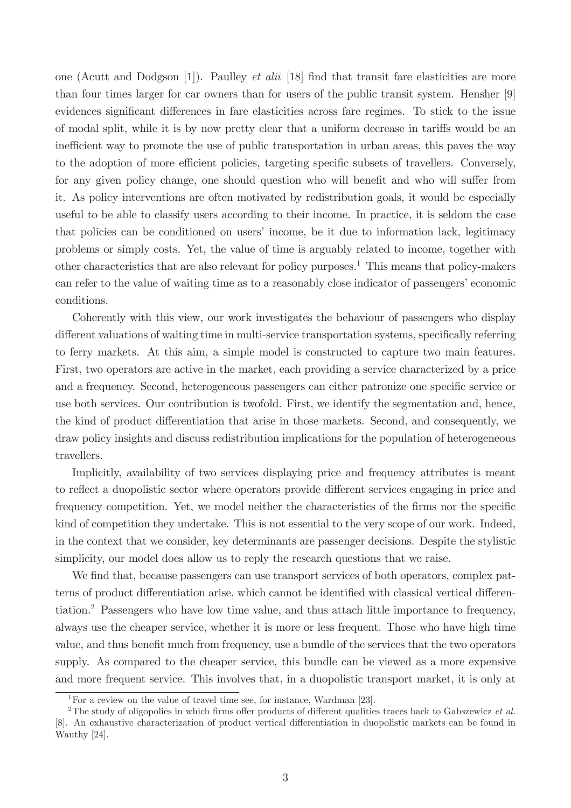one (Acutt and Dodgson [1]). Paulley *et alii* [18] find that transit fare elasticities are more than four times larger for car owners than for users of the public transit system. Hensher [9] evidences significant differences in fare elasticities across fare regimes. To stick to the issue of modal split, while it is by now pretty clear that a uniform decrease in tariffs would be an inefficient way to promote the use of public transportation in urban areas, this paves the way to the adoption of more efficient policies, targeting specific subsets of travellers. Conversely, for any given policy change, one should question who will benefit and who will suffer from it. As policy interventions are often motivated by redistribution goals, it would be especially useful to be able to classify users according to their income. In practice, it is seldom the case that policies can be conditioned on users' income, be it due to information lack, legitimacy problems or simply costs. Yet, the value of time is arguably related to income, together with other characteristics that are also relevant for policy purposes.<sup>1</sup> This means that policy-makers can refer to the value of waiting time as to a reasonably close indicator of passengers' economic conditions.

Coherently with this view, our work investigates the behaviour of passengers who display different valuations of waiting time in multi-service transportation systems, specifically referring to ferry markets. At this aim, a simple model is constructed to capture two main features. First, two operators are active in the market, each providing a service characterized by a price and a frequency. Second, heterogeneous passengers can either patronize one specific service or use both services. Our contribution is twofold. First, we identify the segmentation and, hence, the kind of product differentiation that arise in those markets. Second, and consequently, we draw policy insights and discuss redistribution implications for the population of heterogeneous travellers.

Implicitly, availability of two services displaying price and frequency attributes is meant to reflect a duopolistic sector where operators provide different services engaging in price and frequency competition. Yet, we model neither the characteristics of the firms nor the specific kind of competition they undertake. This is not essential to the very scope of our work. Indeed, in the context that we consider, key determinants are passenger decisions. Despite the stylistic simplicity, our model does allow us to reply the research questions that we raise.

We find that, because passengers can use transport services of both operators, complex patterns of product differentiation arise, which cannot be identified with classical vertical differentiation.<sup>2</sup> Passengers who have low time value, and thus attach little importance to frequency, always use the cheaper service, whether it is more or less frequent. Those who have high time value, and thus benefit much from frequency, use a bundle of the services that the two operators supply. As compared to the cheaper service, this bundle can be viewed as a more expensive and more frequent service. This involves that, in a duopolistic transport market, it is only at

<sup>&</sup>lt;sup>1</sup>For a review on the value of travel time see, for instance, Wardman [23].

<sup>&</sup>lt;sup>2</sup>The study of oligopolies in which firms offer products of different qualities traces back to Gabszewicz et al. [8]. An exhaustive characterization of product vertical differentiation in duopolistic markets can be found in Wauthy [24].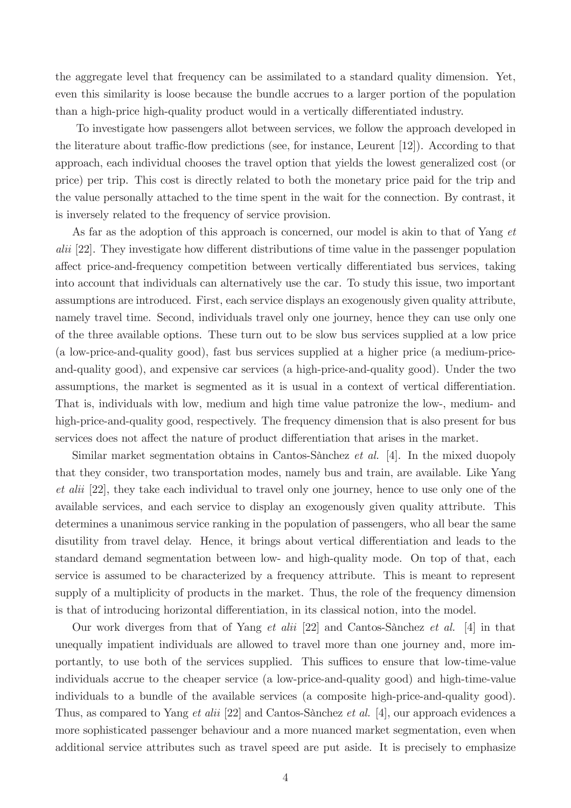the aggregate level that frequency can be assimilated to a standard quality dimension. Yet, even this similarity is loose because the bundle accrues to a larger portion of the population than a high-price high-quality product would in a vertically differentiated industry.

To investigate how passengers allot between services, we follow the approach developed in the literature about traffic-flow predictions (see, for instance, Leurent  $[12]$ ). According to that approach, each individual chooses the travel option that yields the lowest generalized cost (or price) per trip. This cost is directly related to both the monetary price paid for the trip and the value personally attached to the time spent in the wait for the connection. By contrast, it is inversely related to the frequency of service provision.

As far as the adoption of this approach is concerned, our model is akin to that of Yang et  $alii$  [22]. They investigate how different distributions of time value in the passenger population affect price-and-frequency competition between vertically differentiated bus services, taking into account that individuals can alternatively use the car. To study this issue, two important assumptions are introduced. First, each service displays an exogenously given quality attribute, namely travel time. Second, individuals travel only one journey, hence they can use only one of the three available options. These turn out to be slow bus services supplied at a low price (a low-price-and-quality good), fast bus services supplied at a higher price (a medium-priceand-quality good), and expensive car services (a high-price-and-quality good). Under the two assumptions, the market is segmented as it is usual in a context of vertical differentiation. That is, individuals with low, medium and high time value patronize the low-, medium- and high-price-and-quality good, respectively. The frequency dimension that is also present for bus services does not affect the nature of product differentiation that arises in the market.

Similar market segmentation obtains in Cantos-Sànchez et al.  $[4]$ . In the mixed duopoly that they consider, two transportation modes, namely bus and train, are available. Like Yang et alii [22], they take each individual to travel only one journey, hence to use only one of the available services, and each service to display an exogenously given quality attribute. This determines a unanimous service ranking in the population of passengers, who all bear the same disutility from travel delay. Hence, it brings about vertical differentiation and leads to the standard demand segmentation between low- and high-quality mode. On top of that, each service is assumed to be characterized by a frequency attribute. This is meant to represent supply of a multiplicity of products in the market. Thus, the role of the frequency dimension is that of introducing horizontal differentiation, in its classical notion, into the model.

Our work diverges from that of Yang *et alii* [22] and Cantos-Sànchez *et al.* [4] in that unequally impatient individuals are allowed to travel more than one journey and, more importantly, to use both of the services supplied. This suffices to ensure that low-time-value individuals accrue to the cheaper service (a low-price-and-quality good) and high-time-value individuals to a bundle of the available services (a composite high-price-and-quality good). Thus, as compared to Yang *et alii* [22] and Cantos-Sànchez *et al.* [4], our approach evidences a more sophisticated passenger behaviour and a more nuanced market segmentation, even when additional service attributes such as travel speed are put aside. It is precisely to emphasize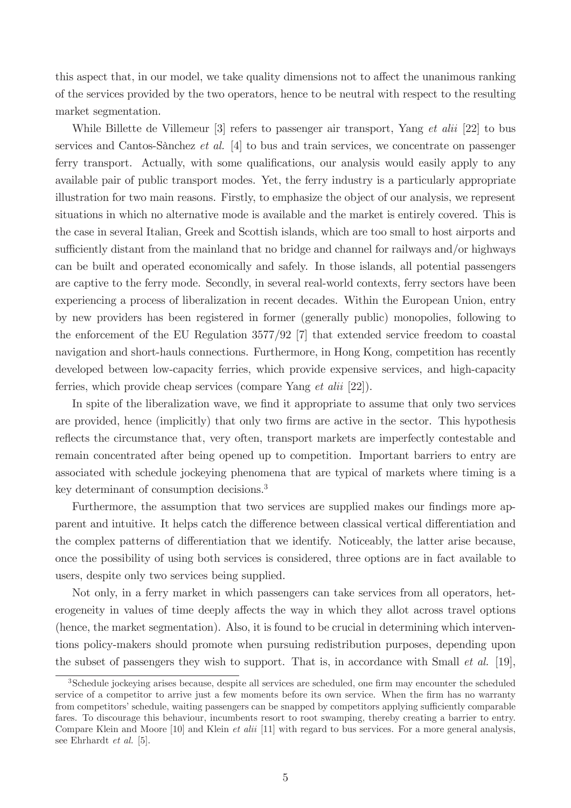this aspect that, in our model, we take quality dimensions not to affect the unanimous ranking of the services provided by the two operators, hence to be neutral with respect to the resulting market segmentation.

While Billette de Villemeur [3] refers to passenger air transport, Yang *et alii* [22] to bus services and Cantos-Sànchez *et al.* [4] to bus and train services, we concentrate on passenger ferry transport. Actually, with some qualifications, our analysis would easily apply to any available pair of public transport modes. Yet, the ferry industry is a particularly appropriate illustration for two main reasons. Firstly, to emphasize the object of our analysis, we represent situations in which no alternative mode is available and the market is entirely covered. This is the case in several Italian, Greek and Scottish islands, which are too small to host airports and sufficiently distant from the mainland that no bridge and channel for railways and/or highways can be built and operated economically and safely. In those islands, all potential passengers are captive to the ferry mode. Secondly, in several real-world contexts, ferry sectors have been experiencing a process of liberalization in recent decades. Within the European Union, entry by new providers has been registered in former (generally public) monopolies, following to the enforcement of the EU Regulation 3577/92 [7] that extended service freedom to coastal navigation and short-hauls connections. Furthermore, in Hong Kong, competition has recently developed between low-capacity ferries, which provide expensive services, and high-capacity ferries, which provide cheap services (compare Yang *et alii* [22]).

In spite of the liberalization wave, we find it appropriate to assume that only two services are provided, hence (implicitly) that only two firms are active in the sector. This hypothesis reflects the circumstance that, very often, transport markets are imperfectly contestable and remain concentrated after being opened up to competition. Important barriers to entry are associated with schedule jockeying phenomena that are typical of markets where timing is a key determinant of consumption decisions.<sup>3</sup>

Furthermore, the assumption that two services are supplied makes our findings more apparent and intuitive. It helps catch the difference between classical vertical differentiation and the complex patterns of differentiation that we identify. Noticeably, the latter arise because, once the possibility of using both services is considered, three options are in fact available to users, despite only two services being supplied.

Not only, in a ferry market in which passengers can take services from all operators, heterogeneity in values of time deeply affects the way in which they allot across travel options (hence, the market segmentation). Also, it is found to be crucial in determining which interventions policy-makers should promote when pursuing redistribution purposes, depending upon the subset of passengers they wish to support. That is, in accordance with Small *et al.* [19],

<sup>&</sup>lt;sup>3</sup>Schedule jockeying arises because, despite all services are scheduled, one firm may encounter the scheduled service of a competitor to arrive just a few moments before its own service. When the firm has no warranty from competitors' schedule, waiting passengers can be snapped by competitors applying sufficiently comparable fares. To discourage this behaviour, incumbents resort to root swamping, thereby creating a barrier to entry. Compare Klein and Moore [10] and Klein *et alii* [11] with regard to bus services. For a more general analysis, see Ehrhardt et al. [5].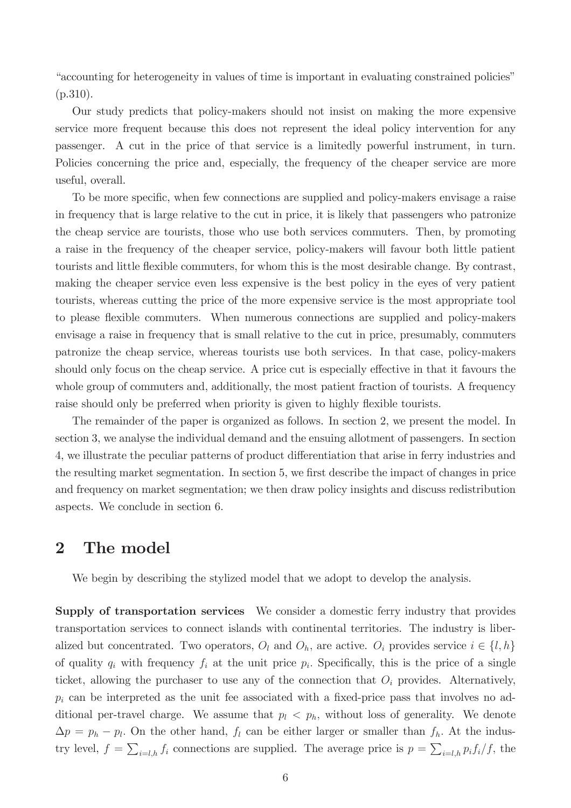Example is important in evaluating constrained policies<sup>n</sup> accounting for heterogeneity in values of time is important in evaluating constrained policies<sup>n</sup> (p.310).

Our study predicts that policy-makers should not insist on making the more expensive service more frequent because this does not represent the ideal policy intervention for any passenger. A cut in the price of that service is a limitedly powerful instrument, in turn. Policies concerning the price and, especially, the frequency of the cheaper service are more useful, overall.

To be more specific, when few connections are supplied and policy-makers envisage a raise in frequency that is large relative to the cut in price, it is likely that passengers who patronize the cheap service are tourists, those who use both services commuters. Then, by promoting a raise in the frequency of the cheaper service, policy-makers will favour both little patient tourists and little flexible commuters, for whom this is the most desirable change. By contrast, making the cheaper service even less expensive is the best policy in the eyes of very patient tourists, whereas cutting the price of the more expensive service is the most appropriate tool to please áexible commuters. When numerous connections are supplied and policy-makers envisage a raise in frequency that is small relative to the cut in price, presumably, commuters patronize the cheap service, whereas tourists use both services. In that case, policy-makers should only focus on the cheap service. A price cut is especially effective in that it favours the whole group of commuters and, additionally, the most patient fraction of tourists. A frequency raise should only be preferred when priority is given to highly flexible tourists.

The remainder of the paper is organized as follows. In section 2, we present the model. In section 3, we analyse the individual demand and the ensuing allotment of passengers. In section 4, we illustrate the peculiar patterns of product differentiation that arise in ferry industries and the resulting market segmentation. In section 5, we first describe the impact of changes in price and frequency on market segmentation; we then draw policy insights and discuss redistribution aspects. We conclude in section 6.

## 2 The model

We begin by describing the stylized model that we adopt to develop the analysis.

Supply of transportation services We consider a domestic ferry industry that provides transportation services to connect islands with continental territories. The industry is liberalized but concentrated. Two operators,  $O_l$  and  $O_h$ , are active.  $O_i$  provides service  $i \in \{l, h\}$ of quality  $q_i$  with frequency  $f_i$  at the unit price  $p_i$ . Specifically, this is the price of a single ticket, allowing the purchaser to use any of the connection that  $O_i$  provides. Alternatively,  $p_i$  can be interpreted as the unit fee associated with a fixed-price pass that involves no additional per-travel charge. We assume that  $p_l < p_h$ , without loss of generality. We denote  $\Delta p = p_h - p_l$ . On the other hand,  $f_l$  can be either larger or smaller than  $f_h$ . At the industry level,  $f = \sum_{i=l,h} f_i$  connections are supplied. The average price is  $p = \sum_{i=l,h} p_i f_i / f$ , the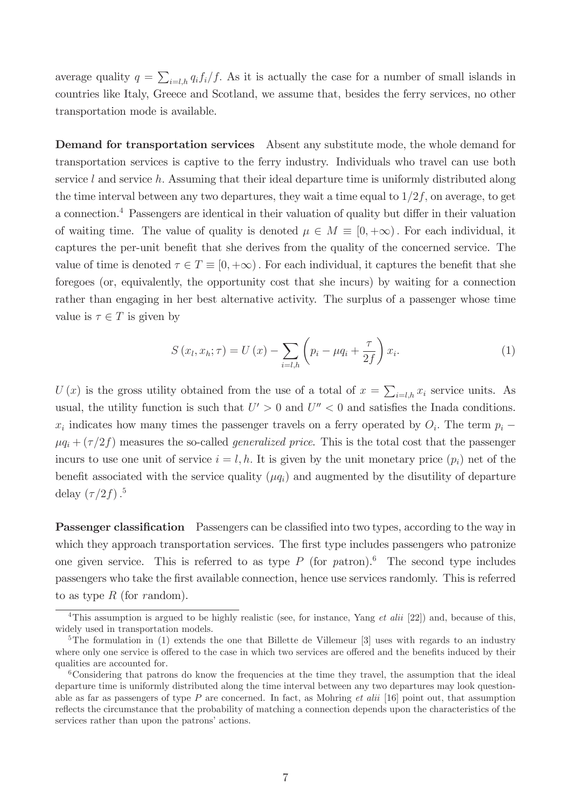average quality  $q = \sum_{i=l,h} q_i f_i / f$ . As it is actually the case for a number of small islands in countries like Italy, Greece and Scotland, we assume that, besides the ferry services, no other transportation mode is available.

Demand for transportation services Absent any substitute mode, the whole demand for transportation services is captive to the ferry industry. Individuals who travel can use both service l and service h. Assuming that their ideal departure time is uniformly distributed along the time interval between any two departures, they wait a time equal to  $1/2f$ , on average, to get a connection.<sup>4</sup> Passengers are identical in their valuation of quality but differ in their valuation of waiting time. The value of quality is denoted  $\mu \in M \equiv [0, +\infty)$ . For each individual, it captures the per-unit benefit that she derives from the quality of the concerned service. The value of time is denoted  $\tau \in T \equiv [0, +\infty)$ . For each individual, it captures the benefit that she foregoes (or, equivalently, the opportunity cost that she incurs) by waiting for a connection rather than engaging in her best alternative activity. The surplus of a passenger whose time value is  $\tau \in T$  is given by

$$
S(x_l, x_h; \tau) = U(x) - \sum_{i=l,h} \left( p_i - \mu q_i + \frac{\tau}{2f} \right) x_i.
$$
 (1)

U(x) is the gross utility obtained from the use of a total of  $x = \sum_{i=l,h} x_i$  service units. As usual, the utility function is such that  $U' > 0$  and  $U'' < 0$  and satisfies the Inada conditions.  $x_i$  indicates how many times the passenger travels on a ferry operated by  $O_i$ . The term  $p_i$  –  $\mu q_i + (\tau/2f)$  measures the so-called *generalized price*. This is the total cost that the passenger incurs to use one unit of service  $i = l, h$ . It is given by the unit monetary price  $(p_i)$  net of the benefit associated with the service quality  $(\mu q_i)$  and augmented by the disutility of departure delay  $(\tau/2f).$ <sup>5</sup>

**Passenger classification** Passengers can be classified into two types, according to the way in which they approach transportation services. The first type includes passengers who patronize one given service. This is referred to as type  $P$  (for patron).<sup>6</sup> The second type includes passengers who take the Örst available connection, hence use services randomly. This is referred to as type  $R$  (for random).

<sup>&</sup>lt;sup>4</sup>This assumption is argued to be highly realistic (see, for instance, Yang *et alii* [22]) and, because of this, widely used in transportation models.

<sup>&</sup>lt;sup>5</sup>The formulation in (1) extends the one that Billette de Villemeur [3] uses with regards to an industry where only one service is offered to the case in which two services are offered and the benefits induced by their qualities are accounted for.

<sup>&</sup>lt;sup>6</sup>Considering that patrons do know the frequencies at the time they travel, the assumption that the ideal departure time is uniformly distributed along the time interval between any two departures may look questionable as far as passengers of type  $P$  are concerned. In fact, as Mohring *et alii* [16] point out, that assumption reflects the circumstance that the probability of matching a connection depends upon the characteristics of the services rather than upon the patrons' actions.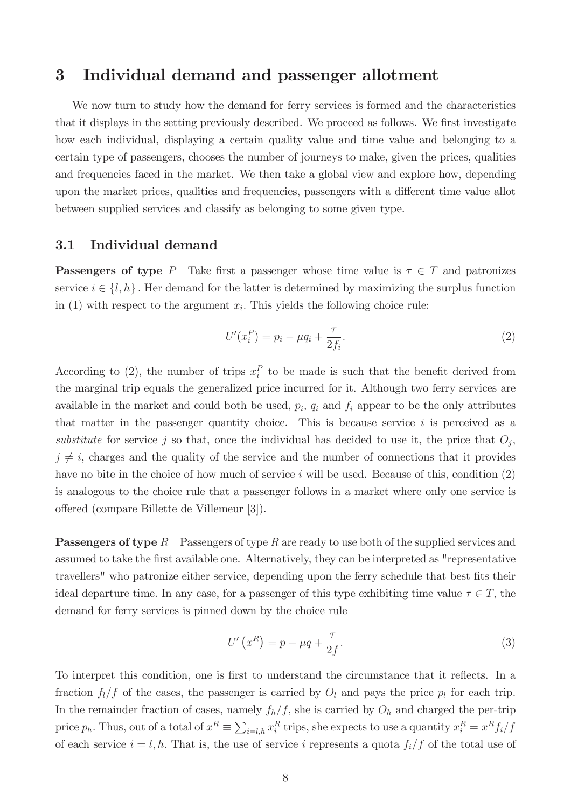## 3 Individual demand and passenger allotment

We now turn to study how the demand for ferry services is formed and the characteristics that it displays in the setting previously described. We proceed as follows. We first investigate how each individual, displaying a certain quality value and time value and belonging to a certain type of passengers, chooses the number of journeys to make, given the prices, qualities and frequencies faced in the market. We then take a global view and explore how, depending upon the market prices, qualities and frequencies, passengers with a different time value allot between supplied services and classify as belonging to some given type.

### 3.1 Individual demand

**Passengers of type** P Take first a passenger whose time value is  $\tau \in T$  and patronizes service  $i \in \{l, h\}$ . Her demand for the latter is determined by maximizing the surplus function in (1) with respect to the argument  $x_i$ . This yields the following choice rule:

$$
U'(x_i^P) = p_i - \mu q_i + \frac{\tau}{2f_i}.
$$
\n(2)

According to (2), the number of trips  $x_i^P$  to be made is such that the benefit derived from the marginal trip equals the generalized price incurred for it. Although two ferry services are available in the market and could both be used,  $p_i$ ,  $q_i$  and  $f_i$  appear to be the only attributes that matter in the passenger quantity choice. This is because service  $i$  is perceived as a substitute for service j so that, once the individual has decided to use it, the price that  $O_j$ ,  $j \neq i$ , charges and the quality of the service and the number of connections that it provides have no bite in the choice of how much of service  $i$  will be used. Because of this, condition  $(2)$ is analogous to the choice rule that a passenger follows in a market where only one service is o§ered (compare Billette de Villemeur [3]).

**Passengers of type**  $R$  Passengers of type  $R$  are ready to use both of the supplied services and assumed to take the first available one. Alternatively, they can be interpreted as "representative" travellers" who patronize either service, depending upon the ferry schedule that best fits their ideal departure time. In any case, for a passenger of this type exhibiting time value  $\tau \in T$ , the demand for ferry services is pinned down by the choice rule

$$
U'\left(x^R\right) = p - \mu q + \frac{\tau}{2f}.\tag{3}
$$

To interpret this condition, one is first to understand the circumstance that it reflects. In a fraction  $f_l/f$  of the cases, the passenger is carried by  $O_l$  and pays the price  $p_l$  for each trip. In the remainder fraction of cases, namely  $f_h/f$ , she is carried by  $O_h$  and charged the per-trip price  $p_h$ . Thus, out of a total of  $x^R \equiv \sum_{i=l,h} x_i^R$  trips, she expects to use a quantity  $x_i^R = x^R f_i / f$ of each service  $i = l, h$ . That is, the use of service i represents a quota  $f_i/f$  of the total use of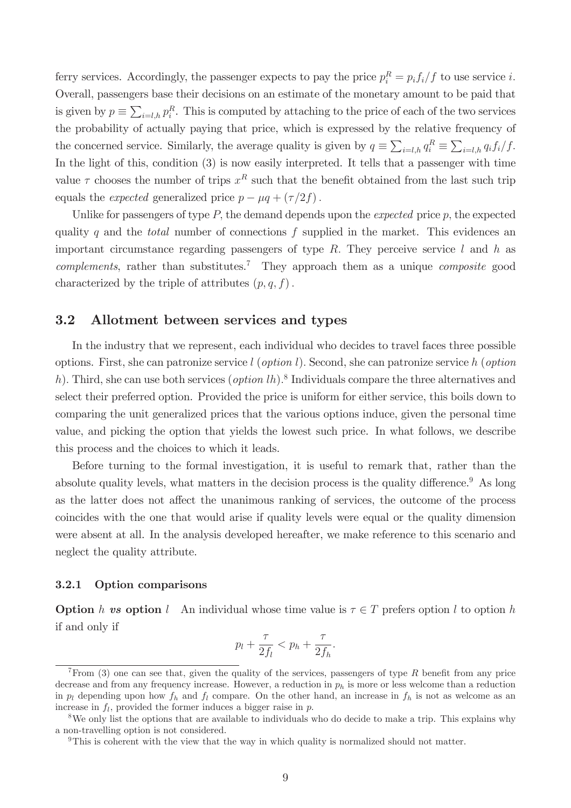ferry services. Accordingly, the passenger expects to pay the price  $p_i^R = p_i f_i / f$  to use service i. Overall, passengers base their decisions on an estimate of the monetary amount to be paid that is given by  $p \equiv \sum_{i=l,h} p_i^R$ . This is computed by attaching to the price of each of the two services the probability of actually paying that price, which is expressed by the relative frequency of the concerned service. Similarly, the average quality is given by  $q \equiv \sum_{i=l,h} q_i^R \equiv \sum_{i=l,h} q_i f_i / f$ . In the light of this, condition (3) is now easily interpreted. It tells that a passenger with time value  $\tau$  chooses the number of trips  $x^R$  such that the benefit obtained from the last such trip equals the *expected* generalized price  $p - \mu q + (\tau/2f)$ .

Unlike for passengers of type  $P$ , the demand depends upon the *expected* price  $p$ , the expected quality q and the *total* number of connections  $f$  supplied in the market. This evidences an important circumstance regarding passengers of type  $R$ . They perceive service  $l$  and  $h$  as  $complements$ , rather than substitutes.<sup>7</sup> They approach them as a unique *composite* good characterized by the triple of attributes  $(p, q, f)$ .

### 3.2 Allotment between services and types

In the industry that we represent, each individual who decides to travel faces three possible options. First, she can patronize service  $l$  (option l). Second, she can patronize service h (option h). Third, she can use both services  $(\text{option } lh)$ .<sup>8</sup> Individuals compare the three alternatives and select their preferred option. Provided the price is uniform for either service, this boils down to comparing the unit generalized prices that the various options induce, given the personal time value, and picking the option that yields the lowest such price. In what follows, we describe this process and the choices to which it leads.

Before turning to the formal investigation, it is useful to remark that, rather than the absolute quality levels, what matters in the decision process is the quality difference.<sup>9</sup> As long as the latter does not affect the unanimous ranking of services, the outcome of the process coincides with the one that would arise if quality levels were equal or the quality dimension were absent at all. In the analysis developed hereafter, we make reference to this scenario and neglect the quality attribute.

### 3.2.1 Option comparisons

**Option** h vs option l An individual whose time value is  $\tau \in T$  prefers option l to option h if and only if

$$
p_l + \frac{\tau}{2f_l} < p_h + \frac{\tau}{2f_h}.
$$

 $7$ From (3) one can see that, given the quality of the services, passengers of type R benefit from any price decrease and from any frequency increase. However, a reduction in  $p<sub>h</sub>$  is more or less welcome than a reduction in  $p_l$  depending upon how  $f_h$  and  $f_l$  compare. On the other hand, an increase in  $f_h$  is not as welcome as an increase in  $f_l$ , provided the former induces a bigger raise in  $p$ .

<sup>&</sup>lt;sup>8</sup>We only list the options that are available to individuals who do decide to make a trip. This explains why a non-travelling option is not considered.

<sup>9</sup>This is coherent with the view that the way in which quality is normalized should not matter.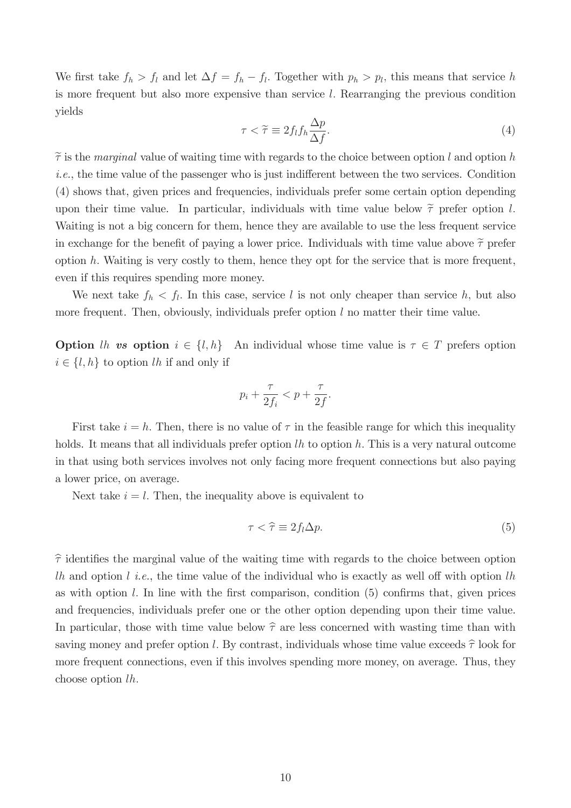We first take  $f_h > f_l$  and let  $\Delta f = f_h - f_l$ . Together with  $p_h > p_l$ , this means that service h is more frequent but also more expensive than service l: Rearranging the previous condition yields

$$
\tau < \widetilde{\tau} \equiv 2f_l f_h \frac{\Delta p}{\Delta f}.\tag{4}
$$

 $\tilde{\tau}$  is the marginal value of waiting time with regards to the choice between option l and option h  $i.e.,$  the time value of the passenger who is just indifferent between the two services. Condition (4) shows that, given prices and frequencies, individuals prefer some certain option depending upon their time value. In particular, individuals with time value below  $\tilde{\tau}$  prefer option l. Waiting is not a big concern for them, hence they are available to use the less frequent service in exchange for the benefit of paying a lower price. Individuals with time value above  $\tilde{\tau}$  prefer option  $h$ . Waiting is very costly to them, hence they opt for the service that is more frequent, even if this requires spending more money.

We next take  $f_h < f_l$ . In this case, service l is not only cheaper than service h, but also more frequent. Then, obviously, individuals prefer option  $l$  no matter their time value.

**Option** lh vs option  $i \in \{l, h\}$  An individual whose time value is  $\tau \in T$  prefers option  $i \in \{l, h\}$  to option lh if and only if

$$
p_i + \frac{\tau}{2f_i} < p + \frac{\tau}{2f}.
$$

First take  $i = h$ . Then, there is no value of  $\tau$  in the feasible range for which this inequality holds. It means that all individuals prefer option  $lh$  to option  $h$ . This is a very natural outcome in that using both services involves not only facing more frequent connections but also paying a lower price, on average.

Next take  $i = l$ . Then, the inequality above is equivalent to

$$
\tau < \hat{\tau} \equiv 2f_l \Delta p. \tag{5}
$$

 $\hat{\tau}$  identifies the marginal value of the waiting time with regards to the choice between option lh and option l i.e., the time value of the individual who is exactly as well off with option lh as with option  $l$ . In line with the first comparison, condition (5) confirms that, given prices and frequencies, individuals prefer one or the other option depending upon their time value. In particular, those with time value below  $\hat{\tau}$  are less concerned with wasting time than with saving money and prefer option l. By contrast, individuals whose time value exceeds  $\hat{\tau}$  look for more frequent connections, even if this involves spending more money, on average. Thus, they choose option lh: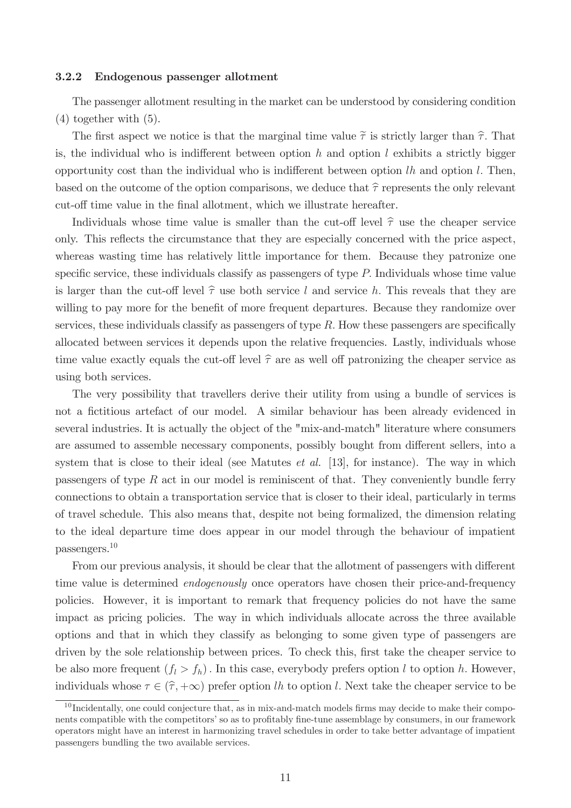#### 3.2.2 Endogenous passenger allotment

The passenger allotment resulting in the market can be understood by considering condition (4) together with (5).

The first aspect we notice is that the marginal time value  $\tilde{\tau}$  is strictly larger than  $\hat{\tau}$ . That is, the individual who is indifferent between option h and option l exhibits a strictly bigger opportunity cost than the individual who is indifferent between option  $lh$  and option  $l$ . Then, based on the outcome of the option comparisons, we deduce that  $\hat{\tau}$  represents the only relevant cut-off time value in the final allotment, which we illustrate hereafter.

Individuals whose time value is smaller than the cut-off level  $\hat{\tau}$  use the cheaper service only. This reflects the circumstance that they are especially concerned with the price aspect, whereas wasting time has relatively little importance for them. Because they patronize one specific service, these individuals classify as passengers of type  $P$ . Individuals whose time value is larger than the cut-off level  $\hat{\tau}$  use both service l and service h. This reveals that they are willing to pay more for the benefit of more frequent departures. Because they randomize over services, these individuals classify as passengers of type  $R$ . How these passengers are specifically allocated between services it depends upon the relative frequencies. Lastly, individuals whose time value exactly equals the cut-off level  $\hat{\tau}$  are as well off patronizing the cheaper service as using both services.

The very possibility that travellers derive their utility from using a bundle of services is not a fictitious artefact of our model. A similar behaviour has been already evidenced in several industries. It is actually the object of the "mix-and-match" literature where consumers are assumed to assemble necessary components, possibly bought from different sellers, into a system that is close to their ideal (see Matutes *et al.* [13], for instance). The way in which passengers of type  $R$  act in our model is reminiscent of that. They conveniently bundle ferry connections to obtain a transportation service that is closer to their ideal, particularly in terms of travel schedule. This also means that, despite not being formalized, the dimension relating to the ideal departure time does appear in our model through the behaviour of impatient passengers.<sup>10</sup>

From our previous analysis, it should be clear that the allotment of passengers with different time value is determined endogenously once operators have chosen their price-and-frequency policies. However, it is important to remark that frequency policies do not have the same impact as pricing policies. The way in which individuals allocate across the three available options and that in which they classify as belonging to some given type of passengers are driven by the sole relationship between prices. To check this, first take the cheaper service to be also more frequent  $(f_l > f_h)$ . In this case, everybody prefers option l to option h. However, individuals whose  $\tau \in (\hat{\tau}, +\infty)$  prefer option lh to option l. Next take the cheaper service to be

 $10$  Incidentally, one could conjecture that, as in mix-and-match models firms may decide to make their components compatible with the competitors' so as to profitably fine-tune assemblage by consumers, in our framework operators might have an interest in harmonizing travel schedules in order to take better advantage of impatient passengers bundling the two available services.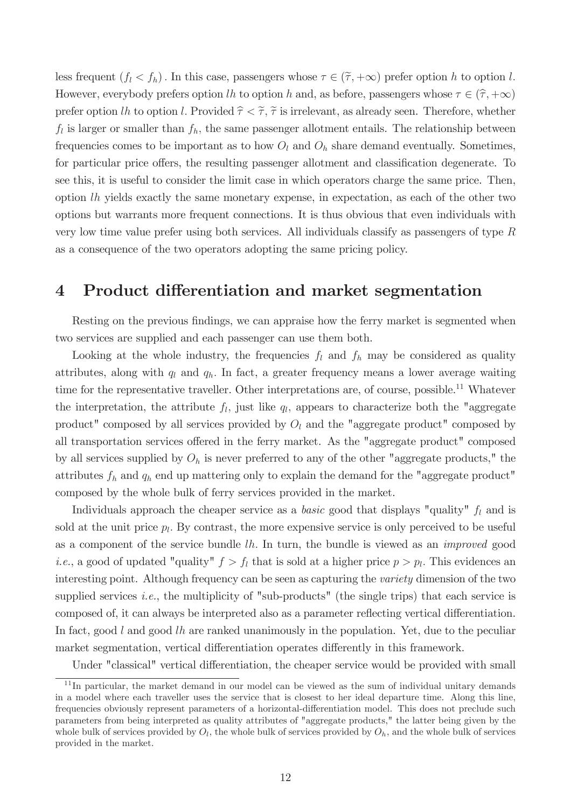less frequent  $(f_l < f_h)$ . In this case, passengers whose  $\tau \in (\tilde{\tau}, +\infty)$  prefer option h to option l. However, everybody prefers option lh to option h and, as before, passengers whose  $\tau \in (\hat{\tau}, +\infty)$ prefer option lh to option l. Provided  $\hat{\tau} < \tilde{\tau}$ ,  $\tilde{\tau}$  is irrelevant, as already seen. Therefore, whether  $f_l$  is larger or smaller than  $f_h$ , the same passenger allotment entails. The relationship between frequencies comes to be important as to how  $O_l$  and  $O_h$  share demand eventually. Sometimes, for particular price offers, the resulting passenger allotment and classification degenerate. To see this, it is useful to consider the limit case in which operators charge the same price. Then, option lh yields exactly the same monetary expense, in expectation, as each of the other two options but warrants more frequent connections. It is thus obvious that even individuals with very low time value prefer using both services. All individuals classify as passengers of type R as a consequence of the two operators adopting the same pricing policy.

## 4 Product differentiation and market segmentation

Resting on the previous findings, we can appraise how the ferry market is segmented when two services are supplied and each passenger can use them both.

Looking at the whole industry, the frequencies  $f_l$  and  $f_h$  may be considered as quality attributes, along with  $q_l$  and  $q_h$ . In fact, a greater frequency means a lower average waiting time for the representative traveller. Other interpretations are, of course, possible.<sup>11</sup> Whatever the interpretation, the attribute  $f_l$ , just like  $q_l$ , appears to characterize both the "aggregate" product" composed by all services provided by  $O_l$  and the "aggregate product" composed by all transportation services offered in the ferry market. As the "aggregate product" composed by all services supplied by  $O<sub>h</sub>$  is never preferred to any of the other "aggregate products," the attributes  $f_h$  and  $q_h$  end up mattering only to explain the demand for the "aggregate product" composed by the whole bulk of ferry services provided in the market.

Individuals approach the cheaper service as a *basic* good that displays "quality"  $f_l$  and is sold at the unit price  $p_l$ . By contrast, the more expensive service is only perceived to be useful as a component of the service bundle  $lh$ . In turn, the bundle is viewed as an *improved* good *i.e.*, a good of updated "quality"  $f > f_l$  that is sold at a higher price  $p > p_l$ . This evidences an interesting point. Although frequency can be seen as capturing the *variety* dimension of the two supplied services *i.e.*, the multiplicity of "sub-products" (the single trips) that each service is composed of, it can always be interpreted also as a parameter reflecting vertical differentiation. In fact, good  $l$  and good  $lh$  are ranked unanimously in the population. Yet, due to the peculiar market segmentation, vertical differentiation operates differently in this framework.

Under "classical" vertical differentiation, the cheaper service would be provided with small

<sup>&</sup>lt;sup>11</sup>In particular, the market demand in our model can be viewed as the sum of individual unitary demands in a model where each traveller uses the service that is closest to her ideal departure time. Along this line, frequencies obviously represent parameters of a horizontal-differentiation model. This does not preclude such parameters from being interpreted as quality attributes of "aggregate products," the latter being given by the whole bulk of services provided by  $O_l$ , the whole bulk of services provided by  $O_h$ , and the whole bulk of services provided in the market.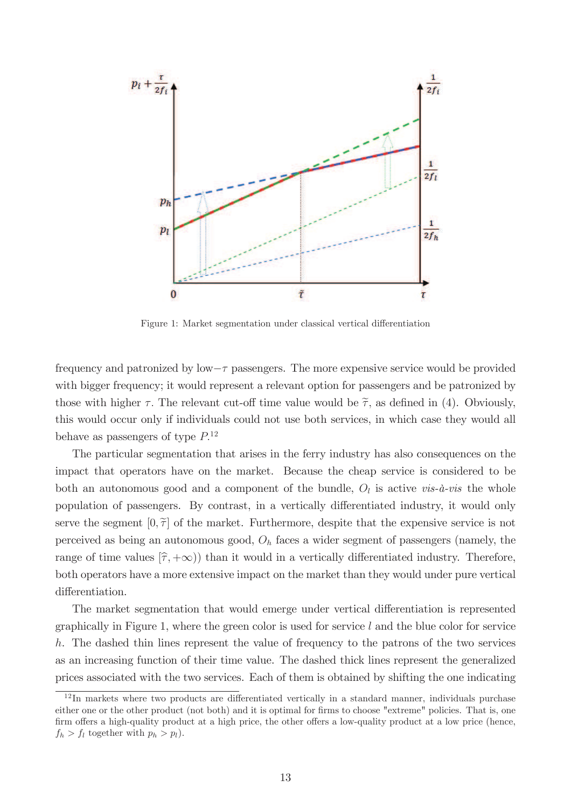

Figure 1: Market segmentation under classical vertical differentiation

frequency and patronized by low  $-\tau$  passengers. The more expensive service would be provided with bigger frequency; it would represent a relevant option for passengers and be patronized by those with higher  $\tau$ . The relevant cut-off time value would be  $\tilde{\tau}$ , as defined in (4). Obviously, this would occur only if individuals could not use both services, in which case they would all behave as passengers of type  $P^{12}$ .

The particular segmentation that arises in the ferry industry has also consequences on the impact that operators have on the market. Because the cheap service is considered to be both an autonomous good and a component of the bundle,  $O_l$  is active vis- $\dot{a}$ -vis the whole population of passengers. By contrast, in a vertically differentiated industry, it would only serve the segment  $[0, \tilde{\tau}]$  of the market. Furthermore, despite that the expensive service is not perceived as being an autonomous good,  $O<sub>h</sub>$  faces a wider segment of passengers (namely, the range of time values  $(\hat{\tau}, +\infty)$ ) than it would in a vertically differentiated industry. Therefore, both operators have a more extensive impact on the market than they would under pure vertical differentiation.

The market segmentation that would emerge under vertical differentiation is represented graphically in Figure 1, where the green color is used for service  $l$  and the blue color for service h. The dashed thin lines represent the value of frequency to the patrons of the two services as an increasing function of their time value. The dashed thick lines represent the generalized prices associated with the two services. Each of them is obtained by shifting the one indicating

 $12$ In markets where two products are differentiated vertically in a standard manner, individuals purchase either one or the other product (not both) and it is optimal for firms to choose "extreme" policies. That is, one firm offers a high-quality product at a high price, the other offers a low-quality product at a low price (hence,  $f_h > f_l$  together with  $p_h > p_l$ ).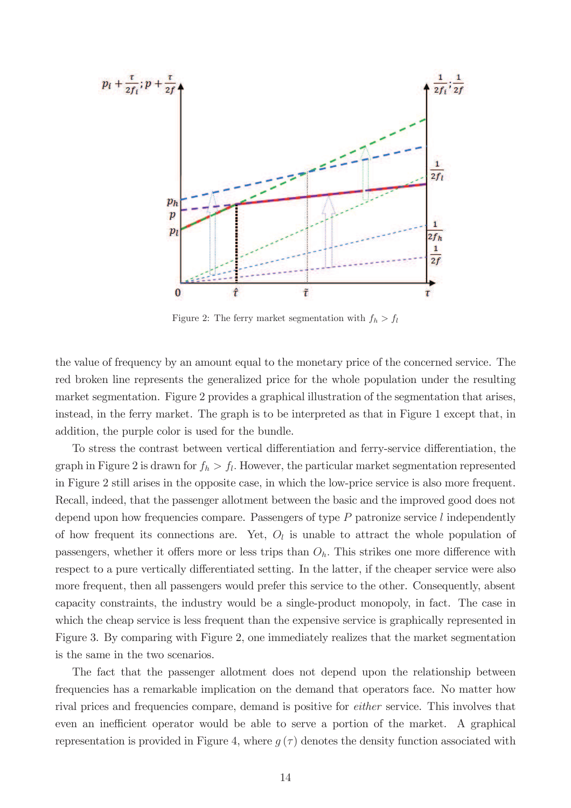

Figure 2: The ferry market segmentation with  $f_h > f_l$ 

the value of frequency by an amount equal to the monetary price of the concerned service. The red broken line represents the generalized price for the whole population under the resulting market segmentation. Figure 2 provides a graphical illustration of the segmentation that arises, instead, in the ferry market. The graph is to be interpreted as that in Figure 1 except that, in addition, the purple color is used for the bundle.

To stress the contrast between vertical differentiation and ferry-service differentiation, the graph in Figure 2 is drawn for  $f_h > f_l$ . However, the particular market segmentation represented in Figure 2 still arises in the opposite case, in which the low-price service is also more frequent. Recall, indeed, that the passenger allotment between the basic and the improved good does not depend upon how frequencies compare. Passengers of type  $P$  patronize service l independently of how frequent its connections are. Yet,  $O_l$  is unable to attract the whole population of passengers, whether it offers more or less trips than  $O<sub>h</sub>$ . This strikes one more difference with respect to a pure vertically differentiated setting. In the latter, if the cheaper service were also more frequent, then all passengers would prefer this service to the other. Consequently, absent capacity constraints, the industry would be a single-product monopoly, in fact. The case in which the cheap service is less frequent than the expensive service is graphically represented in Figure 3. By comparing with Figure 2, one immediately realizes that the market segmentation is the same in the two scenarios.

The fact that the passenger allotment does not depend upon the relationship between frequencies has a remarkable implication on the demand that operators face. No matter how rival prices and frequencies compare, demand is positive for *either* service. This involves that even an inefficient operator would be able to serve a portion of the market. A graphical representation is provided in Figure 4, where  $q(\tau)$  denotes the density function associated with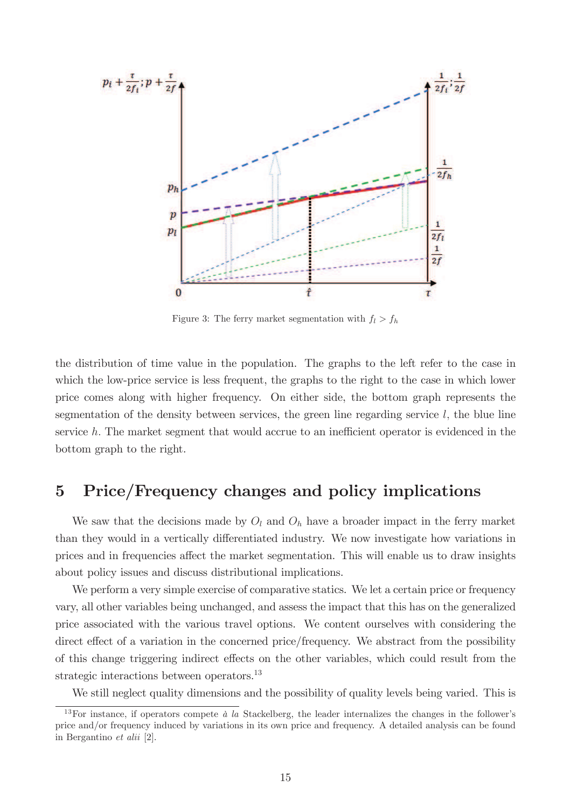

Figure 3: The ferry market segmentation with  $f_l > f_h$ 

the distribution of time value in the population. The graphs to the left refer to the case in which the low-price service is less frequent, the graphs to the right to the case in which lower price comes along with higher frequency. On either side, the bottom graph represents the segmentation of the density between services, the green line regarding service  $l$ , the blue line service  $h$ . The market segment that would accrue to an inefficient operator is evidenced in the bottom graph to the right.

# 5 Price/Frequency changes and policy implications

We saw that the decisions made by  $O_l$  and  $O_h$  have a broader impact in the ferry market than they would in a vertically differentiated industry. We now investigate how variations in prices and in frequencies affect the market segmentation. This will enable us to draw insights about policy issues and discuss distributional implications.

We perform a very simple exercise of comparative statics. We let a certain price or frequency vary, all other variables being unchanged, and assess the impact that this has on the generalized price associated with the various travel options. We content ourselves with considering the direct effect of a variation in the concerned price/frequency. We abstract from the possibility of this change triggering indirect effects on the other variables, which could result from the strategic interactions between operators.<sup>13</sup>

We still neglect quality dimensions and the possibility of quality levels being varied. This is

<sup>&</sup>lt;sup>13</sup>For instance, if operators compete  $\dot{a}$  la Stackelberg, the leader internalizes the changes in the follower's price and/or frequency induced by variations in its own price and frequency. A detailed analysis can be found in Bergantino et alii [2].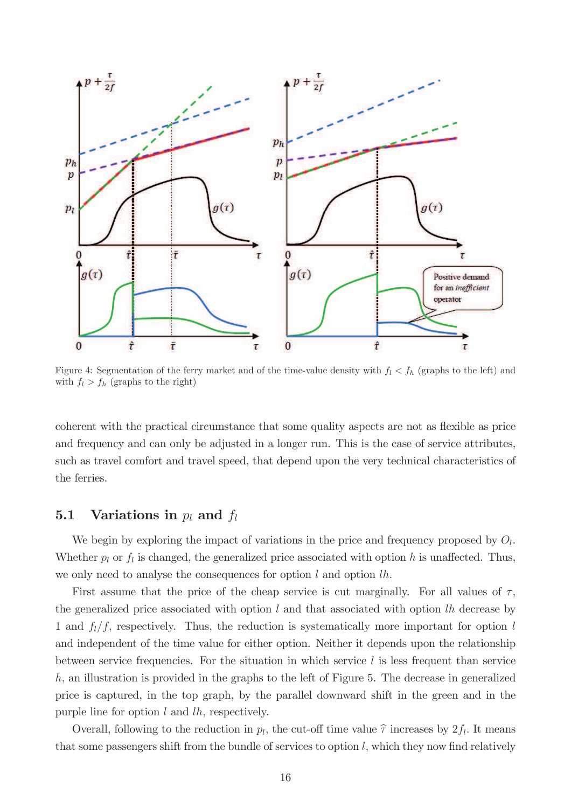

Figure 4: Segmentation of the ferry market and of the time-value density with  $f_l < f_h$  (graphs to the left) and with  $f_l > f_h$  (graphs to the right)

coherent with the practical circumstance that some quality aspects are not as flexible as price and frequency and can only be adjusted in a longer run. This is the case of service attributes, such as travel comfort and travel speed, that depend upon the very technical characteristics of the ferries.

## **5.1** Variations in  $p_l$  and  $f_l$

We begin by exploring the impact of variations in the price and frequency proposed by  $O_l$ . Whether  $p_l$  or  $f_l$  is changed, the generalized price associated with option h is unaffected. Thus, we only need to analyse the consequences for option  $l$  and option  $lh$ .

First assume that the price of the cheap service is cut marginally. For all values of  $\tau$ , the generalized price associated with option  $l$  and that associated with option  $lh$  decrease by 1 and  $f_l/f$ , respectively. Thus, the reduction is systematically more important for option l and independent of the time value for either option. Neither it depends upon the relationship between service frequencies. For the situation in which service  $l$  is less frequent than service  $h$ , an illustration is provided in the graphs to the left of Figure 5. The decrease in generalized price is captured, in the top graph, by the parallel downward shift in the green and in the purple line for option  $l$  and  $lh$ , respectively.

Overall, following to the reduction in  $p_l$ , the cut-off time value  $\hat{\tau}$  increases by  $2f_l$ . It means that some passengers shift from the bundle of services to option  $l$ , which they now find relatively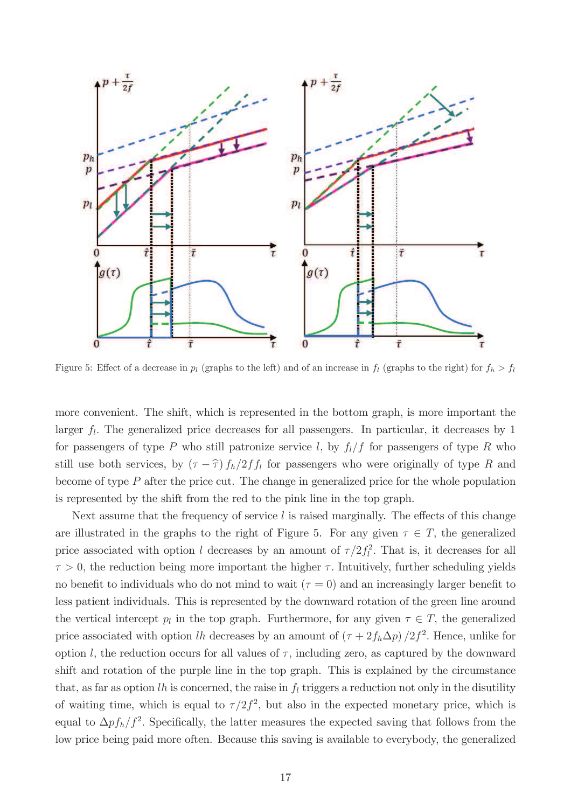

Figure 5: Effect of a decrease in  $p_l$  (graphs to the left) and of an increase in  $f_l$  (graphs to the right) for  $f_h > f_l$ 

more convenient. The shift, which is represented in the bottom graph, is more important the larger  $f_l$ . The generalized price decreases for all passengers. In particular, it decreases by 1 for passengers of type P who still patronize service l, by  $f_l/f$  for passengers of type R who still use both services, by  $(\tau - \hat{\tau}) f_h/2ff_l$  for passengers who were originally of type R and become of type  $P$  after the price cut. The change in generalized price for the whole population is represented by the shift from the red to the pink line in the top graph.

Next assume that the frequency of service  $l$  is raised marginally. The effects of this change are illustrated in the graphs to the right of Figure 5. For any given  $\tau \in T$ , the generalized price associated with option l decreases by an amount of  $\tau/2f_l^2$  $l<sub>l</sub><sup>2</sup>$ . That is, it decreases for all  $\tau > 0$ , the reduction being more important the higher  $\tau$ . Intuitively, further scheduling yields no benefit to individuals who do not mind to wait  $(\tau = 0)$  and an increasingly larger benefit to less patient individuals. This is represented by the downward rotation of the green line around the vertical intercept  $p_l$  in the top graph. Furthermore, for any given  $\tau \in T$ , the generalized price associated with option lh decreases by an amount of  $(\tau + 2f_h\Delta p)/2f^2$ . Hence, unlike for option l, the reduction occurs for all values of  $\tau$ , including zero, as captured by the downward shift and rotation of the purple line in the top graph. This is explained by the circumstance that, as far as option lh is concerned, the raise in  $f_l$  triggers a reduction not only in the disutility of waiting time, which is equal to  $\tau/2f^2$ , but also in the expected monetary price, which is equal to  $\Delta p f_h/f^2$ . Specifically, the latter measures the expected saving that follows from the low price being paid more often. Because this saving is available to everybody, the generalized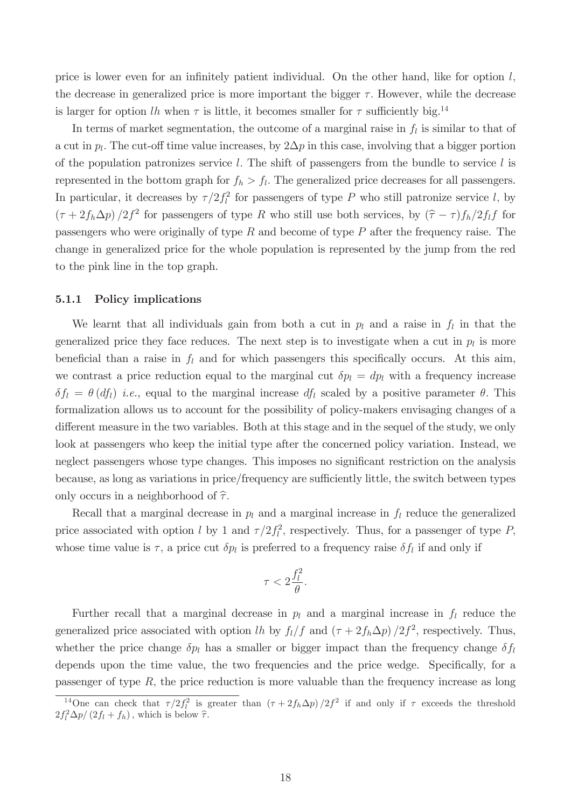price is lower even for an infinitely patient individual. On the other hand, like for option  $l$ , the decrease in generalized price is more important the bigger  $\tau$ . However, while the decrease is larger for option lh when  $\tau$  is little, it becomes smaller for  $\tau$  sufficiently big.<sup>14</sup>

In terms of market segmentation, the outcome of a marginal raise in  $f_l$  is similar to that of a cut in  $p_l$ . The cut-off time value increases, by  $2\Delta p$  in this case, involving that a bigger portion of the population patronizes service l. The shift of passengers from the bundle to service l is represented in the bottom graph for  $f_h > f_l$ . The generalized price decreases for all passengers. In particular, it decreases by  $\tau/2f_l^2$  $l_l^2$  for passengers of type P who still patronize service l, by  $(\tau + 2f_h\Delta p)/2f^2$  for passengers of type R who still use both services, by  $(\hat{\tau} - \tau)f_h/2f_lf$  for passengers who were originally of type R and become of type P after the frequency raise. The change in generalized price for the whole population is represented by the jump from the red to the pink line in the top graph.

### 5.1.1 Policy implications

We learnt that all individuals gain from both a cut in  $p_l$  and a raise in  $f_l$  in that the generalized price they face reduces. The next step is to investigate when a cut in  $p_l$  is more beneficial than a raise in  $f_l$  and for which passengers this specifically occurs. At this aim, we contrast a price reduction equal to the marginal cut  $\delta p_l = dp_l$  with a frequency increase  $\delta f_l = \theta(df_l)$  i.e., equal to the marginal increase  $df_l$  scaled by a positive parameter  $\theta$ . This formalization allows us to account for the possibility of policy-makers envisaging changes of a different measure in the two variables. Both at this stage and in the sequel of the study, we only look at passengers who keep the initial type after the concerned policy variation. Instead, we neglect passengers whose type changes. This imposes no significant restriction on the analysis because, as long as variations in price/frequency are sufficiently little, the switch between types only occurs in a neighborhood of  $\hat{\tau}$ .

Recall that a marginal decrease in  $p_l$  and a marginal increase in  $f_l$  reduce the generalized price associated with option l by 1 and  $\tau/2f_l^2$  $l_i^2$ , respectively. Thus, for a passenger of type P, whose time value is  $\tau$ , a price cut  $\delta p_l$  is preferred to a frequency raise  $\delta f_l$  if and only if

$$
\tau < 2\frac{f_l^2}{\theta}.
$$

Further recall that a marginal decrease in  $p_l$  and a marginal increase in  $f_l$  reduce the generalized price associated with option lh by  $f_l/f$  and  $(\tau + 2f_h\Delta p)/2f^2$ , respectively. Thus, whether the price change  $\delta p_l$  has a smaller or bigger impact than the frequency change  $\delta f_l$ depends upon the time value, the two frequencies and the price wedge. Specifically, for a passenger of type  $R$ , the price reduction is more valuable than the frequency increase as long

<sup>&</sup>lt;sup>14</sup>One can check that  $\tau/2f_l^2$  is greater than  $(\tau + 2f_h\Delta p)/2f^2$  if and only if  $\tau$  exceeds the threshold  $2f_l^2\Delta p/(2f_l + f_h)$ , which is below  $\hat{\tau}$ .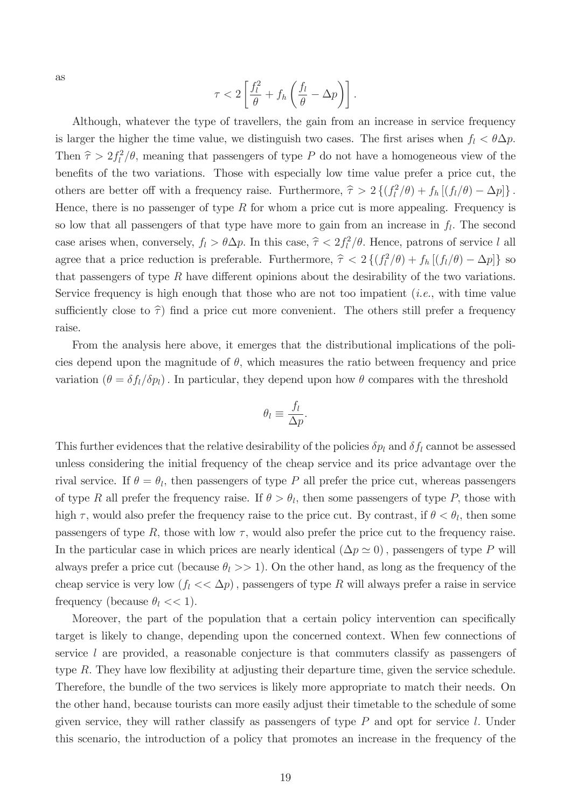as

$$
\tau < 2 \left[ \frac{f_l^2}{\theta} + f_h \left( \frac{f_l}{\theta} - \Delta p \right) \right].
$$

Although, whatever the type of travellers, the gain from an increase in service frequency is larger the higher the time value, we distinguish two cases. The first arises when  $f_l < \theta \Delta p$ . Then  $\hat{\tau} > 2f_l^2$  $l^2/\theta$ , meaning that passengers of type P do not have a homogeneous view of the benefits of the two variations. Those with especially low time value prefer a price cut, the others are better off with a frequency raise. Furthermore,  $\hat{\tau} > 2 \left\{ \frac{f_l^2}{g} \right\}$  $\int_l^2/\theta)+f_h\left[(f_l/\theta)-\Delta p\right]$ . Hence, there is no passenger of type R for whom a price cut is more appealing. Frequency is so low that all passengers of that type have more to gain from an increase in  $f_l$ . The second case arises when, conversely,  $f_l > \theta \Delta p$ . In this case,  $\hat{\tau} < 2f_l^2$  $\int_l^2/\theta$ . Hence, patrons of service l all agree that a price reduction is preferable. Furthermore,  $\hat{\tau} < 2 \left\{ \left( f_l^2 \right) \right\}$  $\int_l^2(\theta) + f_h[(f_l/\theta) - \Delta p]$ } so that passengers of type  $R$  have different opinions about the desirability of the two variations. Service frequency is high enough that those who are not too impatient  $(i.e., with time value$ sufficiently close to  $\hat{\tau}$  find a price cut more convenient. The others still prefer a frequency raise.

From the analysis here above, it emerges that the distributional implications of the policies depend upon the magnitude of  $\theta$ , which measures the ratio between frequency and price variation ( $\theta = \delta f_l/\delta p_l$ ). In particular, they depend upon how  $\theta$  compares with the threshold

$$
\theta_l \equiv \frac{f_l}{\Delta p}.
$$

This further evidences that the relative desirability of the policies  $\delta p_l$  and  $\delta f_l$  cannot be assessed unless considering the initial frequency of the cheap service and its price advantage over the rival service. If  $\theta = \theta_l$ , then passengers of type P all prefer the price cut, whereas passengers of type R all prefer the frequency raise. If  $\theta > \theta_l$ , then some passengers of type P, those with high  $\tau$ , would also prefer the frequency raise to the price cut. By contrast, if  $\theta < \theta_l$ , then some passengers of type R, those with low  $\tau$ , would also prefer the price cut to the frequency raise. In the particular case in which prices are nearly identical  $(\Delta p \simeq 0)$ , passengers of type P will always prefer a price cut (because  $\theta_l >> 1$ ). On the other hand, as long as the frequency of the cheap service is very low  $(f_l \ll \Delta p)$ , passengers of type R will always prefer a raise in service frequency (because  $\theta_l \ll 1$ ).

Moreover, the part of the population that a certain policy intervention can specifically target is likely to change, depending upon the concerned context. When few connections of service l are provided, a reasonable conjecture is that commuters classify as passengers of type R. They have low flexibility at adjusting their departure time, given the service schedule. Therefore, the bundle of the two services is likely more appropriate to match their needs. On the other hand, because tourists can more easily adjust their timetable to the schedule of some given service, they will rather classify as passengers of type  $P$  and opt for service l. Under this scenario, the introduction of a policy that promotes an increase in the frequency of the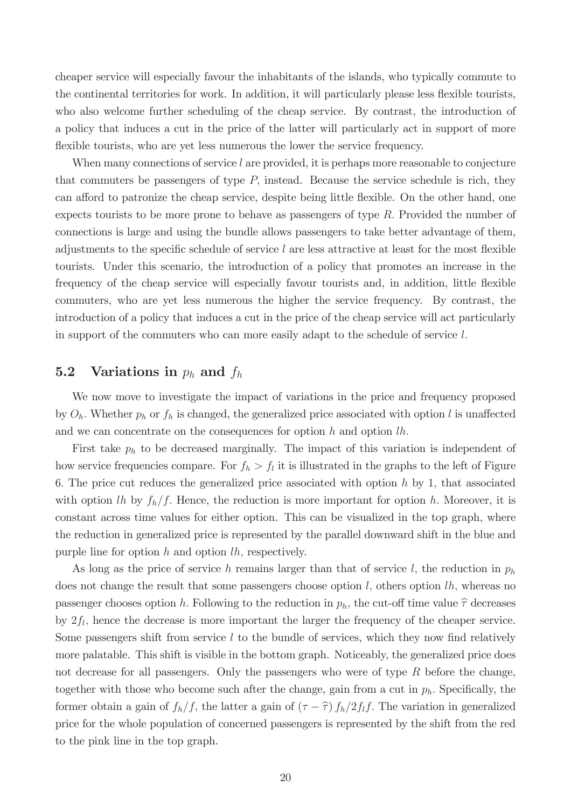cheaper service will especially favour the inhabitants of the islands, who typically commute to the continental territories for work. In addition, it will particularly please less flexible tourists, who also welcome further scheduling of the cheap service. By contrast, the introduction of a policy that induces a cut in the price of the latter will particularly act in support of more flexible tourists, who are yet less numerous the lower the service frequency.

When many connections of service  $l$  are provided, it is perhaps more reasonable to conjecture that commuters be passengers of type  $P$ , instead. Because the service schedule is rich, they can afford to patronize the cheap service, despite being little flexible. On the other hand, one expects tourists to be more prone to behave as passengers of type  $R$ . Provided the number of connections is large and using the bundle allows passengers to take better advantage of them, adjustments to the specific schedule of service  $l$  are less attractive at least for the most flexible tourists. Under this scenario, the introduction of a policy that promotes an increase in the frequency of the cheap service will especially favour tourists and, in addition, little flexible commuters, who are yet less numerous the higher the service frequency. By contrast, the introduction of a policy that induces a cut in the price of the cheap service will act particularly in support of the commuters who can more easily adapt to the schedule of service l:

## **5.2** Variations in  $p_h$  and  $f_h$

We now move to investigate the impact of variations in the price and frequency proposed by  $O_h$ . Whether  $p_h$  or  $f_h$  is changed, the generalized price associated with option l is unaffected and we can concentrate on the consequences for option  $h$  and option  $lh$ .

First take  $p_h$  to be decreased marginally. The impact of this variation is independent of how service frequencies compare. For  $f_h > f_l$  it is illustrated in the graphs to the left of Figure 6. The price cut reduces the generalized price associated with option  $h$  by 1, that associated with option lh by  $f_h/f$ . Hence, the reduction is more important for option h. Moreover, it is constant across time values for either option. This can be visualized in the top graph, where the reduction in generalized price is represented by the parallel downward shift in the blue and purple line for option  $h$  and option  $lh$ , respectively.

As long as the price of service h remains larger than that of service l, the reduction in  $p_h$ does not change the result that some passengers choose option  $l$ , others option  $lh$ , whereas no passenger chooses option h. Following to the reduction in  $p_h$ , the cut-off time value  $\hat{\tau}$  decreases by  $2f_l$ , hence the decrease is more important the larger the frequency of the cheaper service. Some passengers shift from service  $l$  to the bundle of services, which they now find relatively more palatable. This shift is visible in the bottom graph. Noticeably, the generalized price does not decrease for all passengers. Only the passengers who were of type R before the change, together with those who become such after the change, gain from a cut in  $p_h$ . Specifically, the former obtain a gain of  $f_h/f$ , the latter a gain of  $(\tau - \hat{\tau}) f_h/2f_l f$ . The variation in generalized price for the whole population of concerned passengers is represented by the shift from the red to the pink line in the top graph.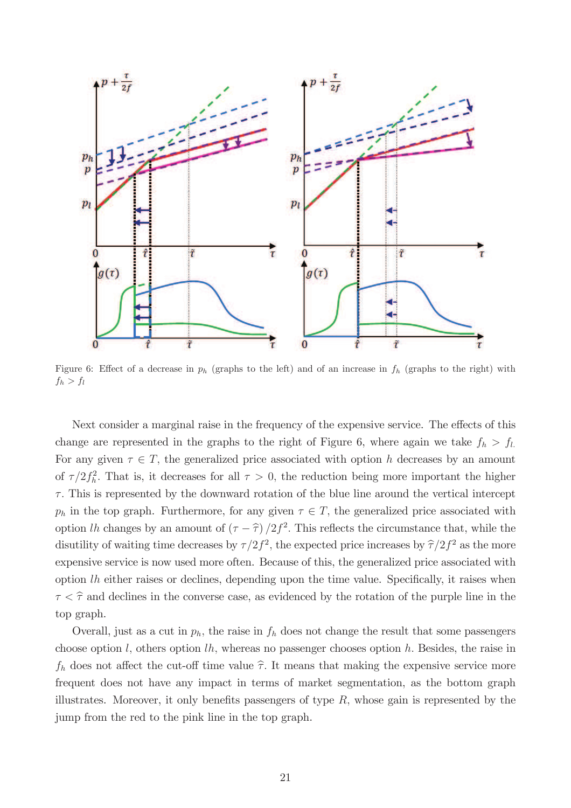

Figure 6: Effect of a decrease in  $p_h$  (graphs to the left) and of an increase in  $f_h$  (graphs to the right) with  $f_h > f_l$ 

Next consider a marginal raise in the frequency of the expensive service. The effects of this change are represented in the graphs to the right of Figure 6, where again we take  $f_h > f_l$ . For any given  $\tau \in T$ , the generalized price associated with option h decreases by an amount of  $\tau/2f_h^2$  $h<sup>2</sup>$ . That is, it decreases for all  $\tau > 0$ , the reduction being more important the higher  $\tau$ . This is represented by the downward rotation of the blue line around the vertical intercept  $p_h$  in the top graph. Furthermore, for any given  $\tau \in T$ , the generalized price associated with option lh changes by an amount of  $(\tau - \hat{\tau})/2f^2$ . This reflects the circumstance that, while the disutility of waiting time decreases by  $\tau/2f^2$ , the expected price increases by  $\widehat{\tau}/2f^2$  as the more expensive service is now used more often. Because of this, the generalized price associated with option  $lh$  either raises or declines, depending upon the time value. Specifically, it raises when  $\tau < \hat{\tau}$  and declines in the converse case, as evidenced by the rotation of the purple line in the top graph.

Overall, just as a cut in  $p_h$ , the raise in  $f_h$  does not change the result that some passengers choose option  $l$ , others option  $lh$ , whereas no passenger chooses option  $h$ . Besides, the raise in  $f_h$  does not affect the cut-off time value  $\hat{\tau}$ . It means that making the expensive service more frequent does not have any impact in terms of market segmentation, as the bottom graph illustrates. Moreover, it only benefits passengers of type  $R$ , whose gain is represented by the jump from the red to the pink line in the top graph.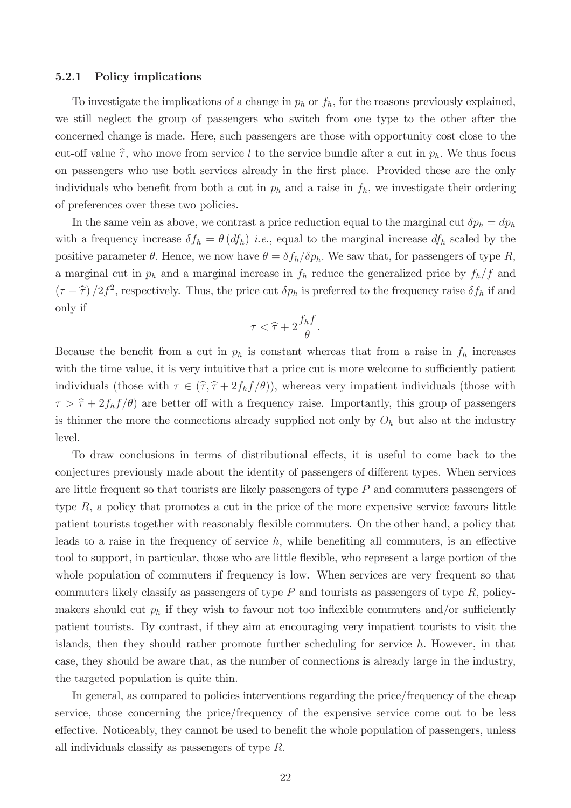#### 5.2.1 Policy implications

To investigate the implications of a change in  $p_h$  or  $f_h$ , for the reasons previously explained, we still neglect the group of passengers who switch from one type to the other after the concerned change is made. Here, such passengers are those with opportunity cost close to the cut-off value  $\hat{\tau}$ , who move from service l to the service bundle after a cut in  $p_h$ . We thus focus on passengers who use both services already in the first place. Provided these are the only individuals who benefit from both a cut in  $p_h$  and a raise in  $f_h$ , we investigate their ordering of preferences over these two policies.

In the same vein as above, we contrast a price reduction equal to the marginal cut  $\delta p_h = dp_h$ with a frequency increase  $\delta f_h = \theta (df_h)$  *i.e.*, equal to the marginal increase  $df_h$  scaled by the positive parameter  $\theta$ . Hence, we now have  $\theta = \delta f_h/\delta p_h$ . We saw that, for passengers of type R, a marginal cut in  $p_h$  and a marginal increase in  $f_h$  reduce the generalized price by  $f_h/f$  and  $(\tau - \hat{\tau})/2f^2$ , respectively. Thus, the price cut  $\delta p_h$  is preferred to the frequency raise  $\delta f_h$  if and only if

$$
\tau < \widehat{\tau} + 2\frac{f_h f}{\theta}.
$$

Because the benefit from a cut in  $p_h$  is constant whereas that from a raise in  $f_h$  increases with the time value, it is very intuitive that a price cut is more welcome to sufficiently patient individuals (those with  $\tau \in (\hat{\tau}, \hat{\tau} + 2f_hf/\theta)$ ), whereas very impatient individuals (those with  $\tau > \hat{\tau} + 2f_hf(\theta)$  are better off with a frequency raise. Importantly, this group of passengers is thinner the more the connections already supplied not only by  $O_h$  but also at the industry level.

To draw conclusions in terms of distributional effects, it is useful to come back to the conjectures previously made about the identity of passengers of different types. When services are little frequent so that tourists are likely passengers of type  $P$  and commuters passengers of type  $R$ , a policy that promotes a cut in the price of the more expensive service favours little patient tourists together with reasonably flexible commuters. On the other hand, a policy that leads to a raise in the frequency of service  $h$ , while benefiting all commuters, is an effective tool to support, in particular, those who are little flexible, who represent a large portion of the whole population of commuters if frequency is low. When services are very frequent so that commuters likely classify as passengers of type  $P$  and tourists as passengers of type  $R$ , policymakers should cut  $p_h$  if they wish to favour not too inflexible commuters and/or sufficiently patient tourists. By contrast, if they aim at encouraging very impatient tourists to visit the islands, then they should rather promote further scheduling for service  $h$ . However, in that case, they should be aware that, as the number of connections is already large in the industry, the targeted population is quite thin.

In general, as compared to policies interventions regarding the price/frequency of the cheap service, those concerning the price/frequency of the expensive service come out to be less effective. Noticeably, they cannot be used to benefit the whole population of passengers, unless all individuals classify as passengers of type  $R$ .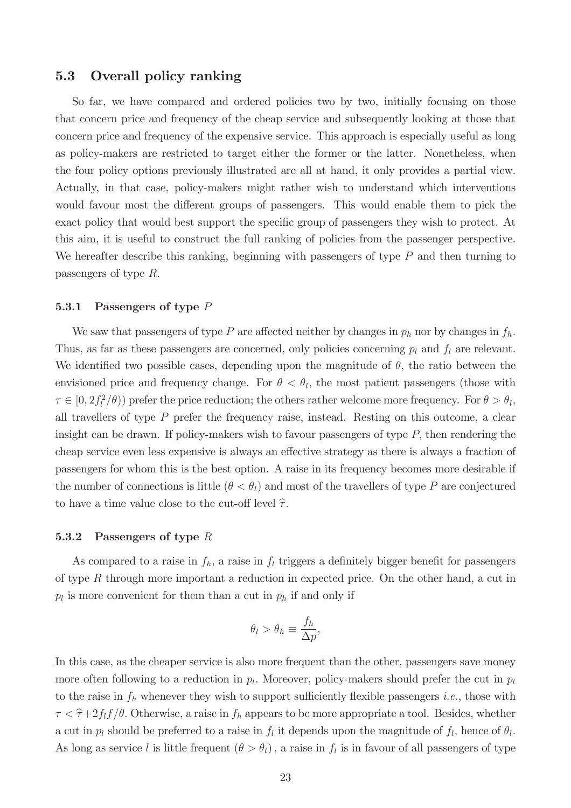### 5.3 Overall policy ranking

So far, we have compared and ordered policies two by two, initially focusing on those that concern price and frequency of the cheap service and subsequently looking at those that concern price and frequency of the expensive service. This approach is especially useful as long as policy-makers are restricted to target either the former or the latter. Nonetheless, when the four policy options previously illustrated are all at hand, it only provides a partial view. Actually, in that case, policy-makers might rather wish to understand which interventions would favour most the different groups of passengers. This would enable them to pick the exact policy that would best support the specific group of passengers they wish to protect. At this aim, it is useful to construct the full ranking of policies from the passenger perspective. We hereafter describe this ranking, beginning with passengers of type  $P$  and then turning to passengers of type  $R$ .

#### 5.3.1 Passengers of type  $P$

We saw that passengers of type P are affected neither by changes in  $p_h$  nor by changes in  $f_h$ . Thus, as far as these passengers are concerned, only policies concerning  $p_l$  and  $f_l$  are relevant. We identified two possible cases, depending upon the magnitude of  $\theta$ , the ratio between the envisioned price and frequency change. For  $\theta < \theta_l$ , the most patient passengers (those with  $\tau \in [0, 2f_l^2]$  $\int_l^2(\theta)$  prefer the price reduction; the others rather welcome more frequency. For  $\theta > \theta_l$ , all travellers of type  $P$  prefer the frequency raise, instead. Resting on this outcome, a clear insight can be drawn. If policy-makers wish to favour passengers of type  $P$ , then rendering the cheap service even less expensive is always an effective strategy as there is always a fraction of passengers for whom this is the best option. A raise in its frequency becomes more desirable if the number of connections is little  $(\theta < \theta_l)$  and most of the travellers of type P are conjectured to have a time value close to the cut-off level  $\hat{\tau}$ .

#### 5.3.2 Passengers of type  $R$

As compared to a raise in  $f_h$ , a raise in  $f_l$  triggers a definitely bigger benefit for passengers of type R through more important a reduction in expected price. On the other hand, a cut in  $p_l$  is more convenient for them than a cut in  $p_h$  if and only if

$$
\theta_l > \theta_h \equiv \frac{f_h}{\Delta p},
$$

In this case, as the cheaper service is also more frequent than the other, passengers save money more often following to a reduction in  $p_l$ . Moreover, policy-makers should prefer the cut in  $p_l$ to the raise in  $f_h$  whenever they wish to support sufficiently flexible passengers *i.e.*, those with  $\tau < \hat{\tau}+2f_l f/\theta$ . Otherwise, a raise in  $f_h$  appears to be more appropriate a tool. Besides, whether a cut in  $p_l$  should be preferred to a raise in  $f_l$  it depends upon the magnitude of  $f_l$ , hence of  $\theta_l$ . As long as service l is little frequent  $(\theta > \theta_l)$ , a raise in  $f_l$  is in favour of all passengers of type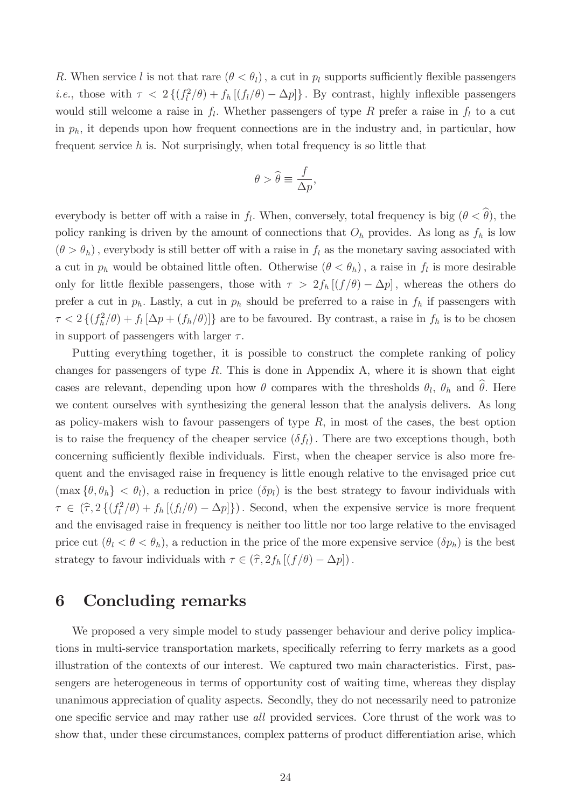R. When service l is not that rare  $(\theta < \theta_l)$ , a cut in  $p_l$  supports sufficiently flexible passengers *i.e.*, those with  $\tau < 2\left\{\left(f_l^2\right)\right\}$  $\int_l^2(\theta) + f_h[(f_l/\theta) - \Delta p]$ . By contrast, highly inflexible passengers would still welcome a raise in  $f_l$ . Whether passengers of type R prefer a raise in  $f_l$  to a cut in  $p_h$ , it depends upon how frequent connections are in the industry and, in particular, how frequent service  $h$  is. Not surprisingly, when total frequency is so little that

$$
\theta > \widehat{\theta} \equiv \frac{f}{\Delta p},
$$

everybody is better off with a raise in  $f_l$ . When, conversely, total frequency is big  $(\theta < \theta)$ , the policy ranking is driven by the amount of connections that  $O_h$  provides. As long as  $f_h$  is low  $(\theta > \theta_h)$ , everybody is still better off with a raise in  $f_l$  as the monetary saving associated with a cut in  $p_h$  would be obtained little often. Otherwise  $(\theta < \theta_h)$ , a raise in  $f_l$  is more desirable only for little flexible passengers, those with  $\tau > 2f_h[(f/\theta) - \Delta p]$ , whereas the others do prefer a cut in  $p_h$ . Lastly, a cut in  $p_h$  should be preferred to a raise in  $f_h$  if passengers with  $\tau < 2 \{ (f_h^2)$  $\{f_h^2(\theta) + f_l[\Delta p + (f_h/\theta)]\}$  are to be favoured. By contrast, a raise in  $f_h$  is to be chosen in support of passengers with larger  $\tau$ .

Putting everything together, it is possible to construct the complete ranking of policy changes for passengers of type  $R$ . This is done in Appendix A, where it is shown that eight cases are relevant, depending upon how  $\theta$  compares with the thresholds  $\theta_l$ ,  $\theta_h$  and  $\theta$ . Here we content ourselves with synthesizing the general lesson that the analysis delivers. As long as policy-makers wish to favour passengers of type  $R$ , in most of the cases, the best option is to raise the frequency of the cheaper service  $(\delta f_l)$ . There are two exceptions though, both concerning sufficiently flexible individuals. First, when the cheaper service is also more frequent and the envisaged raise in frequency is little enough relative to the envisaged price cut  $(\max {\theta, \theta_h} < \theta_l)$ , a reduction in price  $(\delta p_l)$  is the best strategy to favour individuals with  $\tau \in (\widehat{\tau}, 2\left\{ \left( f_{l}^{2}\right) \right\} )$  $\mathcal{L}_l^2(\theta) + f_h[(f_l/\theta) - \Delta p]$ . Second, when the expensive service is more frequent and the envisaged raise in frequency is neither too little nor too large relative to the envisaged price cut  $(\theta_l < \theta < \theta_h)$ , a reduction in the price of the more expensive service  $(\delta p_h)$  is the best strategy to favour individuals with  $\tau \in (\hat{\tau}, 2f_h [(f/\theta) - \Delta p])$ .

# 6 Concluding remarks

We proposed a very simple model to study passenger behaviour and derive policy implications in multi-service transportation markets, specifically referring to ferry markets as a good illustration of the contexts of our interest. We captured two main characteristics. First, passengers are heterogeneous in terms of opportunity cost of waiting time, whereas they display unanimous appreciation of quality aspects. Secondly, they do not necessarily need to patronize one specific service and may rather use all provided services. Core thrust of the work was to show that, under these circumstances, complex patterns of product differentiation arise, which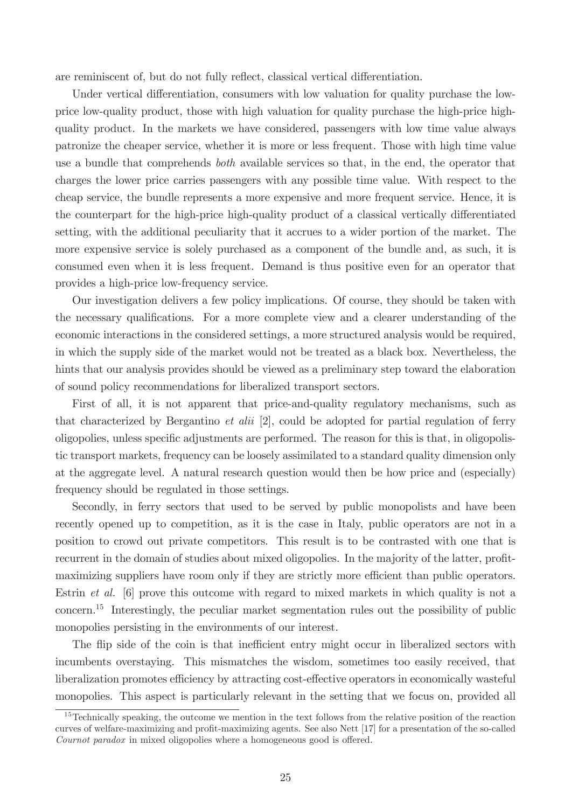are reminiscent of, but do not fully reflect, classical vertical differentiation.

Under vertical differentiation, consumers with low valuation for quality purchase the lowprice low-quality product, those with high valuation for quality purchase the high-price highquality product. In the markets we have considered, passengers with low time value always patronize the cheaper service, whether it is more or less frequent. Those with high time value use a bundle that comprehends both available services so that, in the end, the operator that charges the lower price carries passengers with any possible time value. With respect to the cheap service, the bundle represents a more expensive and more frequent service. Hence, it is the counterpart for the high-price high-quality product of a classical vertically differentiated setting, with the additional peculiarity that it accrues to a wider portion of the market. The more expensive service is solely purchased as a component of the bundle and, as such, it is consumed even when it is less frequent. Demand is thus positive even for an operator that provides a high-price low-frequency service.

Our investigation delivers a few policy implications. Of course, they should be taken with the necessary qualifications. For a more complete view and a clearer understanding of the economic interactions in the considered settings, a more structured analysis would be required, in which the supply side of the market would not be treated as a black box. Nevertheless, the hints that our analysis provides should be viewed as a preliminary step toward the elaboration of sound policy recommendations for liberalized transport sectors.

First of all, it is not apparent that price-and-quality regulatory mechanisms, such as that characterized by Bergantino et alii [2], could be adopted for partial regulation of ferry oligopolies, unless specific adjustments are performed. The reason for this is that, in oligopolistic transport markets, frequency can be loosely assimilated to a standard quality dimension only at the aggregate level. A natural research question would then be how price and (especially) frequency should be regulated in those settings.

Secondly, in ferry sectors that used to be served by public monopolists and have been recently opened up to competition, as it is the case in Italy, public operators are not in a position to crowd out private competitors. This result is to be contrasted with one that is recurrent in the domain of studies about mixed oligopolies. In the majority of the latter, profitmaximizing suppliers have room only if they are strictly more efficient than public operators. Estrin *et al.* [6] prove this outcome with regard to mixed markets in which quality is not a concern.<sup>15</sup> Interestingly, the peculiar market segmentation rules out the possibility of public monopolies persisting in the environments of our interest.

The flip side of the coin is that inefficient entry might occur in liberalized sectors with incumbents overstaying. This mismatches the wisdom, sometimes too easily received, that liberalization promotes efficiency by attracting cost-effective operators in economically wasteful monopolies. This aspect is particularly relevant in the setting that we focus on, provided all

<sup>&</sup>lt;sup>15</sup>Technically speaking, the outcome we mention in the text follows from the relative position of the reaction curves of welfare-maximizing and profit-maximizing agents. See also Nett [17] for a presentation of the so-called  $Counter, paradox$  in mixed oligopolies where a homogeneous good is offered.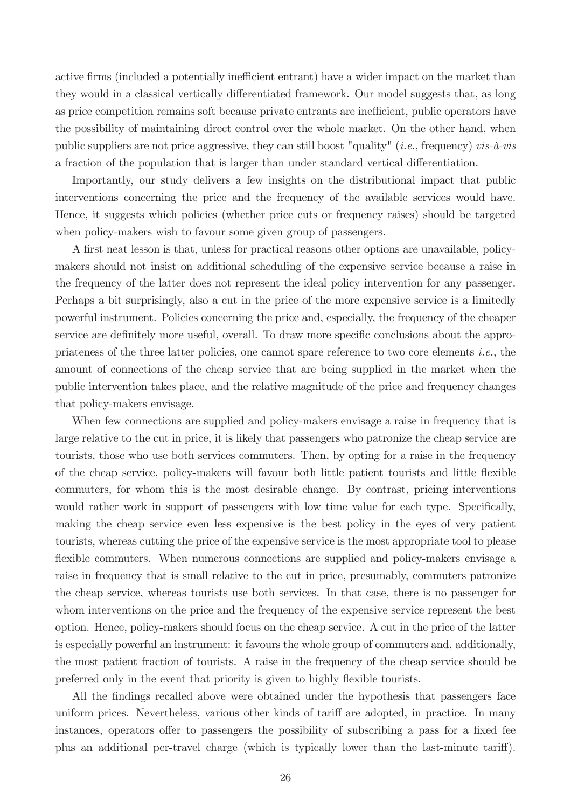active firms (included a potentially inefficient entrant) have a wider impact on the market than they would in a classical vertically differentiated framework. Our model suggests that, as long as price competition remains soft because private entrants are inefficient, public operators have the possibility of maintaining direct control over the whole market. On the other hand, when public suppliers are not price aggressive, they can still boost "quality" (*i.e.*, frequency) vis- $\hat{a}$ -vis a fraction of the population that is larger than under standard vertical differentiation.

Importantly, our study delivers a few insights on the distributional impact that public interventions concerning the price and the frequency of the available services would have. Hence, it suggests which policies (whether price cuts or frequency raises) should be targeted when policy-makers wish to favour some given group of passengers.

A first neat lesson is that, unless for practical reasons other options are unavailable, policymakers should not insist on additional scheduling of the expensive service because a raise in the frequency of the latter does not represent the ideal policy intervention for any passenger. Perhaps a bit surprisingly, also a cut in the price of the more expensive service is a limitedly powerful instrument. Policies concerning the price and, especially, the frequency of the cheaper service are definitely more useful, overall. To draw more specific conclusions about the appropriateness of the three latter policies, one cannot spare reference to two core elements i.e., the amount of connections of the cheap service that are being supplied in the market when the public intervention takes place, and the relative magnitude of the price and frequency changes that policy-makers envisage.

When few connections are supplied and policy-makers envisage a raise in frequency that is large relative to the cut in price, it is likely that passengers who patronize the cheap service are tourists, those who use both services commuters. Then, by opting for a raise in the frequency of the cheap service, policy-makers will favour both little patient tourists and little flexible commuters, for whom this is the most desirable change. By contrast, pricing interventions would rather work in support of passengers with low time value for each type. Specifically, making the cheap service even less expensive is the best policy in the eyes of very patient tourists, whereas cutting the price of the expensive service is the most appropriate tool to please flexible commuters. When numerous connections are supplied and policy-makers envisage a raise in frequency that is small relative to the cut in price, presumably, commuters patronize the cheap service, whereas tourists use both services. In that case, there is no passenger for whom interventions on the price and the frequency of the expensive service represent the best option. Hence, policy-makers should focus on the cheap service. A cut in the price of the latter is especially powerful an instrument: it favours the whole group of commuters and, additionally, the most patient fraction of tourists. A raise in the frequency of the cheap service should be preferred only in the event that priority is given to highly flexible tourists.

All the findings recalled above were obtained under the hypothesis that passengers face uniform prices. Nevertheless, various other kinds of tariff are adopted, in practice. In many instances, operators offer to passengers the possibility of subscribing a pass for a fixed fee plus an additional per-travel charge (which is typically lower than the last-minute tariff).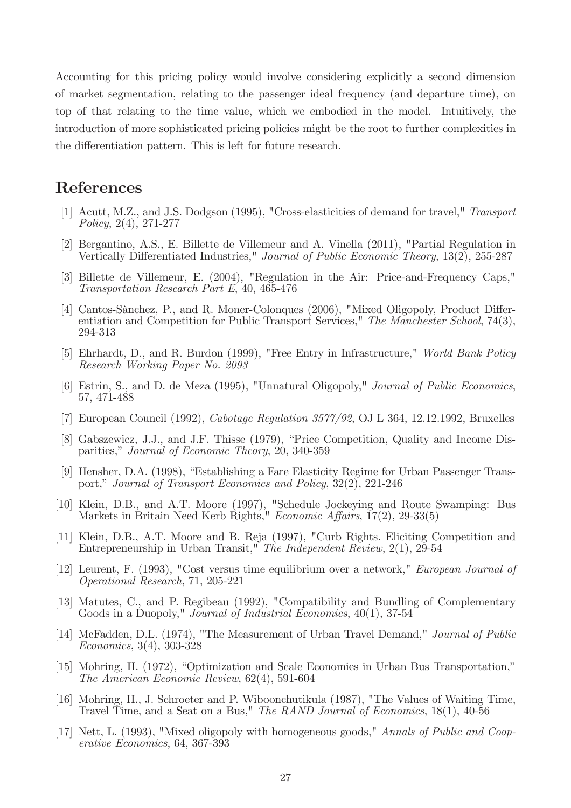Accounting for this pricing policy would involve considering explicitly a second dimension of market segmentation, relating to the passenger ideal frequency (and departure time), on top of that relating to the time value, which we embodied in the model. Intuitively, the introduction of more sophisticated pricing policies might be the root to further complexities in the differentiation pattern. This is left for future research.

# References

- [1] Acutt, M.Z., and J.S. Dodgson (1995), "Cross-elasticities of demand for travel," Transport Policy, 2(4), 271-277
- [2] Bergantino, A.S., E. Billette de Villemeur and A. Vinella (2011), "Partial Regulation in Vertically Differentiated Industries," Journal of Public Economic Theory, 13(2), 255-287
- [3] Billette de Villemeur, E. (2004), "Regulation in the Air: Price-and-Frequency Caps," Transportation Research Part E, 40, 465-476
- [4] Cantos-Sànchez, P., and R. Moner-Colonques (2006), "Mixed Oligopoly, Product Differentiation and Competition for Public Transport Services," The Manchester School, 74(3), 294-313
- [5] Ehrhardt, D., and R. Burdon (1999), "Free Entry in Infrastructure," World Bank Policy Research Working Paper No. 2093
- [6] Estrin, S., and D. de Meza (1995), "Unnatural Oligopoly," Journal of Public Economics, 57, 471-488
- [7] European Council (1992), Cabotage Regulation 3577/92, OJ L 364, 12.12.1992, Bruxelles
- [8] Gabszewicz, J.J., and J.F. Thisse (1979), "Price Competition, Quality and Income Disparities," Journal of Economic Theory, 20, 340-359
- [9] Hensher, D.A. (1998), "Establishing a Fare Elasticity Regime for Urban Passenger Transport," Journal of Transport Economics and Policy, 32(2), 221-246
- [10] Klein, D.B., and A.T. Moore (1997), "Schedule Jockeying and Route Swamping: Bus Markets in Britain Need Kerb Rights," Economic Affairs,  $\overline{17}(2)$ , 29-33(5)
- [11] Klein, D.B., A.T. Moore and B. Reja (1997), "Curb Rights. Eliciting Competition and Entrepreneurship in Urban Transit," The Independent Review, 2(1), 29-54
- [12] Leurent, F. (1993), "Cost versus time equilibrium over a network," European Journal of Operational Research, 71, 205-221
- [13] Matutes, C., and P. Regibeau (1992), "Compatibility and Bundling of Complementary Goods in a Duopoly," Journal of Industrial Economics, 40(1), 37-54
- [14] McFadden, D.L. (1974), "The Measurement of Urban Travel Demand," Journal of Public Economics, 3(4), 303-328
- [15] Mohring, H. (1972), "Optimization and Scale Economies in Urban Bus Transportation," The American Economic Review, 62(4), 591-604
- [16] Mohring, H., J. Schroeter and P. Wiboonchutikula (1987), "The Values of Waiting Time, Travel Time, and a Seat on a Bus," The RAND Journal of Economics, 18(1), 40-56
- [17] Nett, L. (1993), "Mixed oligopoly with homogeneous goods," Annals of Public and Cooperative Economics, 64, 367-393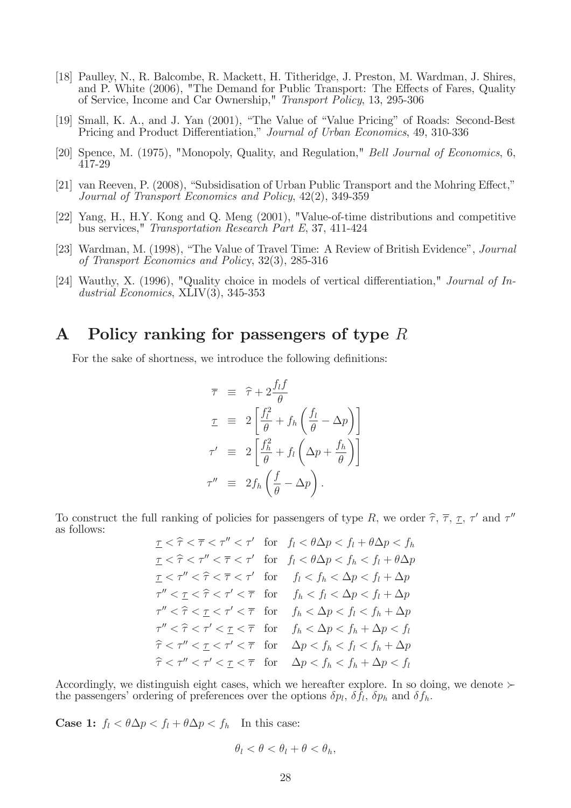- [18] Paulley, N., R. Balcombe, R. Mackett, H. Titheridge, J. Preston, M. Wardman, J. Shires, and P. White (2006), "The Demand for Public Transport: The Effects of Fares, Quality of Service, Income and Car Ownership," Transport Policy, 13, 295-306
- [19] Small, K. A., and J. Yan (2001), "The Value of "Value Pricing" of Roads: Second-Best Pricing and Product Differentiation," Journal of Urban Economics, 49, 310-336
- [20] Spence, M. (1975), "Monopoly, Quality, and Regulation," Bell Journal of Economics, 6, 417-29
- $[21]$  van Reeven, P. (2008), "Subsidisation of Urban Public Transport and the Mohring Effect," Journal of Transport Economics and Policy, 42(2), 349-359
- [22] Yang, H., H.Y. Kong and Q. Meng (2001), "Value-of-time distributions and competitive bus services," Transportation Research Part E, 37, 411-424
- [23] Wardman, M. (1998), "The Value of Travel Time: A Review of British Evidence", *Journal* of Transport Economics and Policy, 32(3), 285-316
- [24] Wauthy, X. (1996), "Quality choice in models of vertical differentiation," Journal of Industrial Economics, XLIV(3), 345-353

# A Policy ranking for passengers of type  $R$

For the sake of shortness, we introduce the following definitions:

$$
\overline{\tau} \equiv \widehat{\tau} + 2 \frac{f_l f}{\theta}
$$
\n
$$
\tau \equiv 2 \left[ \frac{f_l^2}{\theta} + f_h \left( \frac{f_l}{\theta} - \Delta p \right) \right]
$$
\n
$$
\tau' \equiv 2 \left[ \frac{f_h^2}{\theta} + f_l \left( \Delta p + \frac{f_h}{\theta} \right) \right]
$$
\n
$$
\tau'' \equiv 2 f_h \left( \frac{f}{\theta} - \Delta p \right).
$$

To construct the full ranking of policies for passengers of type R, we order  $\hat{\tau}$ ,  $\bar{\tau}$ ,  $\tau$ ,  $\tau'$  and  $\tau''$ as follows:

$$
\underline{\tau} < \hat{\tau} < \overline{\tau} < \tau'' < \tau' \quad \text{for} \quad f_l < \theta \Delta p < f_l + \theta \Delta p < f_h
$$
\n
$$
\underline{\tau} < \hat{\tau} < \tau'' < \overline{\tau} < \tau' \quad \text{for} \quad f_l < \theta \Delta p < f_h < f_l + \theta \Delta p
$$
\n
$$
\underline{\tau} < \tau'' < \hat{\tau} < \overline{\tau} < \tau' \quad \text{for} \quad f_l < f_h < \Delta p < f_l + \Delta p
$$
\n
$$
\tau'' < \underline{\tau} < \hat{\tau} < \tau' < \overline{\tau} \quad \text{for} \quad f_h < f_l < \Delta p < f_l + \Delta p
$$
\n
$$
\tau'' < \hat{\tau} < \underline{\tau} < \tau' < \overline{\tau} \quad \text{for} \quad f_h < \Delta p < f_l < f_h + \Delta p
$$
\n
$$
\tau'' < \hat{\tau} < \tau' < \underline{\tau} < \overline{\tau} \quad \text{for} \quad f_h < \Delta p < f_h + \Delta p < f_l
$$
\n
$$
\hat{\tau} < \tau'' < \underline{\tau} < \tau' < \overline{\tau} \quad \text{for} \quad \Delta p < f_h < f_h + \Delta p
$$
\n
$$
\hat{\tau} < \tau'' < \tau' < \underline{\tau} < \overline{\tau} \quad \text{for} \quad \Delta p < f_h < f_h + \Delta p < f_l
$$

Accordingly, we distinguish eight cases, which we hereafter explore. In so doing, we denote  $\succ$ the passengers' ordering of preferences over the options  $\delta p_l$ ,  $\delta f_l$ ,  $\delta p_h$  and  $\delta f_h$ .

**Case 1:**  $f_l < \theta \Delta p < f_l + \theta \Delta p < f_h$  In this case:

$$
\theta_l < \theta < \theta_l + \theta < \theta_h,
$$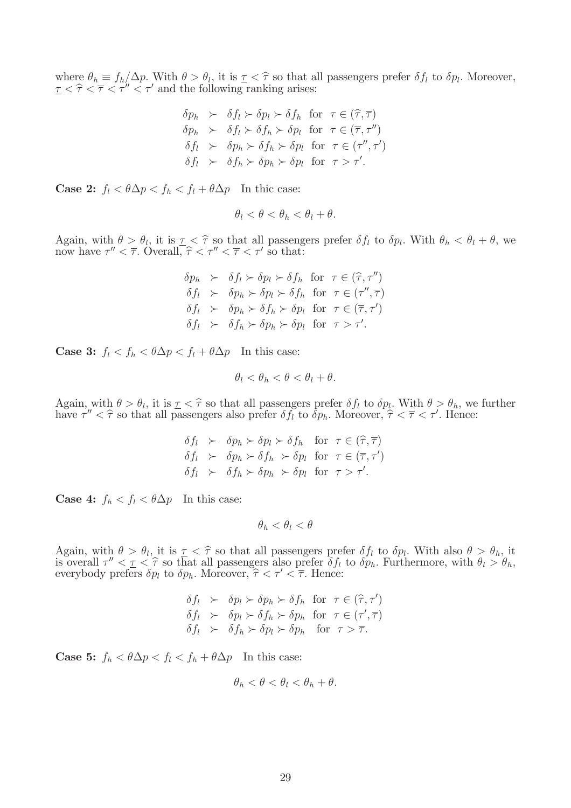where  $\theta_h \equiv f_h / \Delta p$ . With  $\theta > \theta_l$ , it is  $\underline{\tau} < \hat{\tau}$  so that all passengers prefer  $\delta f_l$  to  $\delta p_l$ . Moreover,  $\frac{\tau}{\tau} < \hat{\tau} < \overline{\tau} < \tau'' < \tau'$  and the following ranking arises:

$$
\delta p_h \succ \delta f_l \succ \delta p_l \succ \delta f_h \text{ for } \tau \in (\hat{\tau}, \overline{\tau})
$$
  
\n
$$
\delta p_h \succ \delta f_l \succ \delta f_h \succ \delta p_l \text{ for } \tau \in (\overline{\tau}, \tau'')
$$
  
\n
$$
\delta f_l \succ \delta p_h \succ \delta f_h \succ \delta p_l \text{ for } \tau \in (\tau'', \tau')
$$
  
\n
$$
\delta f_l \succ \delta f_h \succ \delta p_h \succ \delta p_l \text{ for } \tau > \tau'.
$$

**Case 2:**  $f_l < \theta \Delta p < f_h < f_l + \theta \Delta p$  In thic case:

$$
\theta_l < \theta < \theta_h < \theta_l + \theta.
$$

Again, with  $\theta > \theta_l$ , it is  $\tau < \hat{\tau}$  so that all passengers prefer  $\delta f_l$  to  $\delta p_l$ . With  $\theta_h < \theta_l + \theta$ , we now have  $\tau'' < \bar{\tau}$ . Overall  $\hat{\tau} < \tau'' < \bar{\tau} < \tau'$  so that: now have  $\tau'' < \overline{\tau}$ . Overall,  $\hat{\tau} < \tau'' < \overline{\tau} < \tau'$  so that:

> $\delta p_h \succ \delta f_l \succ \delta p_l \succ \delta f_h$  for  $\tau \in (\hat{\tau}, \tau'')$  $\delta f_l \succ \delta p_h \succ \delta p_l \succ \delta f_h$  for  $\tau \in (\tau'', \overline{\tau})$  $\delta f_l \succ \delta p_h \succ \delta f_h \succ \delta p_l \text{ for } \tau \in (\overline{\tau}, \tau')$  $\delta f_l \succ \delta f_h \succ \delta p_h \succ \delta p_l$  for  $\tau > \tau'.$

**Case 3:**  $f_l < f_h < \theta \Delta p < f_l + \theta \Delta p$  In this case:

$$
\theta_l < \theta_h < \theta < \theta_l + \theta.
$$

Again, with  $\theta > \theta_l$ , it is  $\tau < \hat{\tau}$  so that all passengers prefer  $\delta f_l$  to  $\delta p_l$ . With  $\theta > \theta_h$ , we further have  $\tau'' < \hat{\tau}$  so that all passengers also prefer  $\delta f_l$  to  $\delta p_h$ . Moreover,  $\hat{\tau} < \overline{\tau} < \tau'$ . Hence:

$$
\delta f_l \succ \delta p_h \succ \delta p_l \succ \delta f_h \quad \text{for } \tau \in (\hat{\tau}, \overline{\tau})
$$
  
\n
$$
\delta f_l \succ \delta p_h \succ \delta f_h \succ \delta p_l \quad \text{for } \tau \in (\overline{\tau}, \tau')
$$
  
\n
$$
\delta f_l \succ \delta f_h \succ \delta p_h \succ \delta p_l \quad \text{for } \tau > \tau'.
$$

**Case 4:**  $f_h < f_l < \theta \Delta p$  In this case:

 $\theta_h < \theta_l < \theta$ 

Again, with  $\theta > \theta_l$ , it is  $\tau < \hat{\tau}$  so that all passengers prefer  $\delta f_l$  to  $\delta p_l$ . With also  $\theta > \theta_h$ , it is every  $\tau' < \tau < \hat{\tau}$  so that all passengers also prefer  $\delta f_l$  to  $\delta p_l$ . Eurthermore, with  $\theta_l > \theta_l$ . is overall  $\tau'' < \tau < \hat{\tau}$  so that all passengers also prefer  $\delta f_l$  to  $\delta p_h$ . Furthermore, with  $\theta_l > \theta_h$ , everybody prefers  $\delta p_l$  to  $\delta p_h$ . Moreover,  $\hat{\tau} < \tau' < \overline{\tau}$ . Hence:

$$
\delta f_l \succ \delta p_l \succ \delta p_h \succ \delta f_h \text{ for } \tau \in (\hat{\tau}, \tau')
$$
  
\n
$$
\delta f_l \succ \delta p_l \succ \delta f_h \succ \delta p_h \text{ for } \tau \in (\tau', \overline{\tau})
$$
  
\n
$$
\delta f_l \succ \delta f_h \succ \delta p_l \succ \delta p_h \text{ for } \tau > \overline{\tau}.
$$

**Case 5:**  $f_h < \theta \Delta p < f_l < f_h + \theta \Delta p$  In this case:

$$
\theta_h < \theta < \theta_l < \theta_h + \theta.
$$